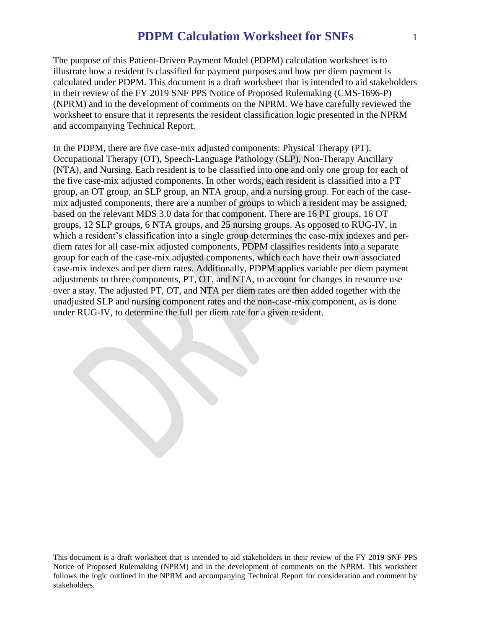The purpose of this Patient-Driven Payment Model (PDPM) calculation worksheet is to illustrate how a resident is classified for payment purposes and how per diem payment is calculated under PDPM. This document is a draft worksheet that is intended to aid stakeholders in their review of the FY 2019 SNF PPS Notice of Proposed Rulemaking (CMS-1696-P) (NPRM) and in the development of comments on the NPRM. We have carefully reviewed the worksheet to ensure that it represents the resident classification logic presented in the NPRM and accompanying Technical Report.

In the PDPM, there are five case-mix adjusted components: Physical Therapy (PT), Occupational Therapy (OT), Speech-Language Pathology (SLP), Non-Therapy Ancillary (NTA), and Nursing. Each resident is to be classified into one and only one group for each of the five case-mix adjusted components. In other words, each resident is classified into a PT group, an OT group, an SLP group, an NTA group, and a nursing group. For each of the casemix adjusted components, there are a number of groups to which a resident may be assigned, based on the relevant MDS 3.0 data for that component. There are 16 PT groups, 16 OT groups, 12 SLP groups, 6 NTA groups, and 25 nursing groups. As opposed to RUG-IV, in which a resident's classification into a single group determines the case-mix indexes and perdiem rates for all case-mix adjusted components, PDPM classifies residents into a separate group for each of the case-mix adjusted components, which each have their own associated case-mix indexes and per diem rates. Additionally, PDPM applies variable per diem payment adjustments to three components, PT, OT, and NTA, to account for changes in resource use over a stay. The adjusted PT, OT, and NTA per diem rates are then added together with the unadjusted SLP and nursing component rates and the non-case-mix component, as is done under RUG-IV, to determine the full per diem rate for a given resident.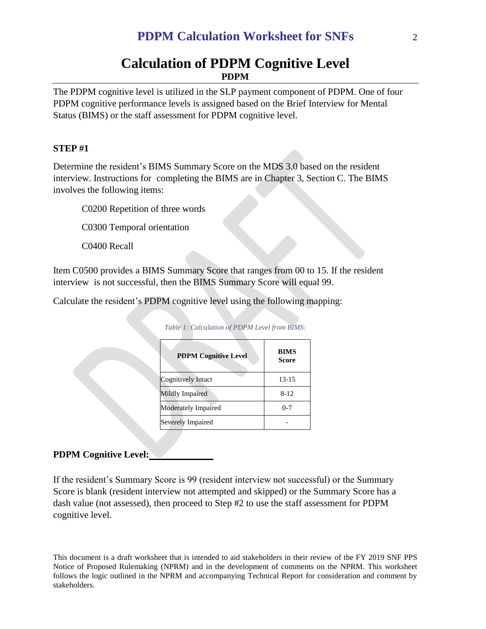# **Calculation of PDPM Cognitive Level PDPM**

The PDPM cognitive level is utilized in the SLP payment component of PDPM. One of four PDPM cognitive performance levels is assigned based on the Brief Interview for Mental Status (BIMS) or the staff assessment for PDPM cognitive level.

### **STEP #1**

Determine the resident's BIMS Summary Score on the MDS 3.0 based on the resident interview. Instructions for completing the BIMS are in Chapter 3, Section C. The BIMS involves the following items:

C0200 Repetition of three words

C0300 Temporal orientation

C0400 Recall

Item C0500 provides a BIMS Summary Score that ranges from 00 to 15. If the resident interview is not successful, then the BIMS Summary Score will equal 99.

Calculate the resident's PDPM cognitive level using the following mapping:

| <b>PDPM Cognitive Level</b> | <b>BIMS</b><br>Score |
|-----------------------------|----------------------|
| Cognitively Intact          | $13 - 15$            |
| Mildly Impaired             | $8 - 12$             |
| Moderately Impaired         | $0 - 7$              |
| Severely Impaired           |                      |

*Table 1: Calculation of PDPM Level from BIMS:*

## **PDPM Cognitive Level:**

If the resident's Summary Score is 99 (resident interview not successful) or the Summary Score is blank (resident interview not attempted and skipped) or the Summary Score has a dash value (not assessed), then proceed to Step #2 to use the staff assessment for PDPM cognitive level.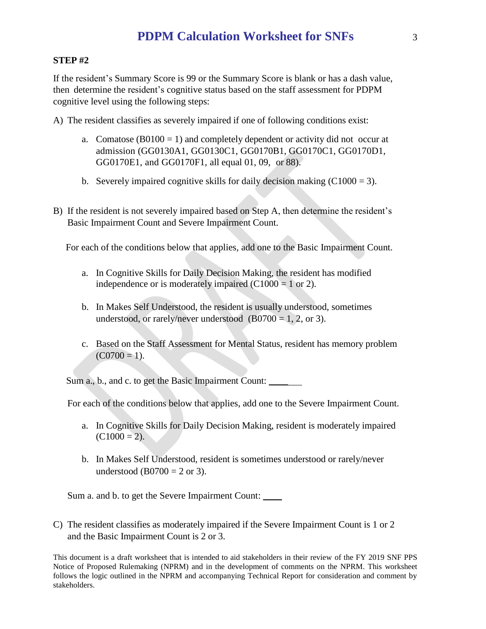# **STEP #2**

If the resident's Summary Score is 99 or the Summary Score is blank or has a dash value, then determine the resident's cognitive status based on the staff assessment for PDPM cognitive level using the following steps:

A) The resident classifies as severely impaired if one of following conditions exist:

- a. Comatose  $(B0100 = 1)$  and completely dependent or activity did not occur at admission (GG0130A1, GG0130C1, GG0170B1, GG0170C1, GG0170D1, GG0170E1, and GG0170F1, all equal 01, 09, or 88).
- b. Severely impaired cognitive skills for daily decision making  $(C1000 = 3)$ .
- B) If the resident is not severely impaired based on Step A, then determine the resident's Basic Impairment Count and Severe Impairment Count.

For each of the conditions below that applies, add one to the Basic Impairment Count.

- a. In Cognitive Skills for Daily Decision Making, the resident has modified independence or is moderately impaired  $(C1000 = 1$  or 2).
- b. In Makes Self Understood, the resident is usually understood, sometimes understood, or rarely/never understood  $(B0700 = 1, 2, or 3)$ .
- c. Based on the Staff Assessment for Mental Status, resident has memory problem  $(C0700 = 1)$ .

Sum a., b., and c. to get the Basic Impairment Count:

For each of the conditions below that applies, add one to the Severe Impairment Count.

- a. In Cognitive Skills for Daily Decision Making, resident is moderately impaired  $(C1000 = 2)$ .
- b. In Makes Self Understood, resident is sometimes understood or rarely/never understood (B0700 = 2 or 3).

Sum a. and b. to get the Severe Impairment Count:

C) The resident classifies as moderately impaired if the Severe Impairment Count is 1 or 2 and the Basic Impairment Count is 2 or 3.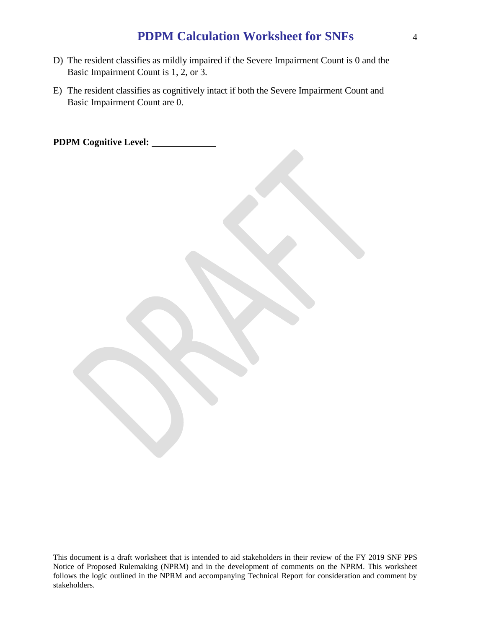- D) The resident classifies as mildly impaired if the Severe Impairment Count is 0 and the Basic Impairment Count is 1, 2, or 3.
- E) The resident classifies as cognitively intact if both the Severe Impairment Count and Basic Impairment Count are 0.

**PDPM Cognitive Level:**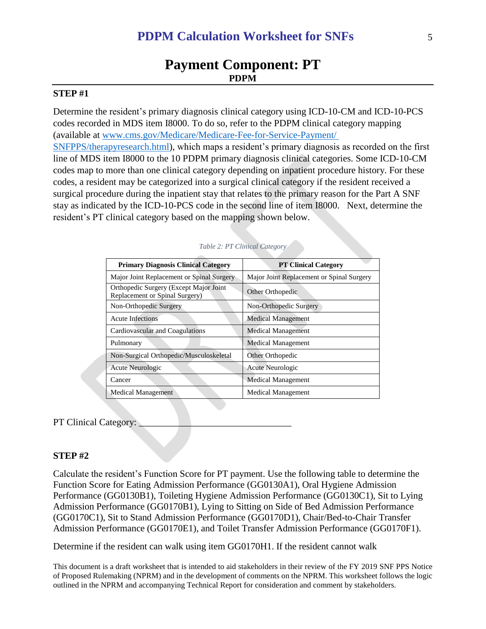# **Payment Component: PT PDPM**

### **STEP #1**

Determine the resident's primary diagnosis clinical category using ICD-10-CM and ICD-10-PCS codes recorded in MDS item I8000. To do so, refer to the PDPM clinical category mapping (available at [www.cms.gov/Medicare/Medicare-Fee-for-Service-Payment/](http://www.cms.gov/Medicare/Medicare-Fee-for-Service-Payment/%20SNFPPS/therapyresearch.html)  [SNFPPS/therapyresearch.html\)](http://www.cms.gov/Medicare/Medicare-Fee-for-Service-Payment/%20SNFPPS/therapyresearch.html), which maps a resident's primary diagnosis as recorded on the first line of MDS item I8000 to the 10 PDPM primary diagnosis clinical categories. Some ICD-10-CM codes map to more than one clinical category depending on inpatient procedure history. For these codes, a resident may be categorized into a surgical clinical category if the resident received a surgical procedure during the inpatient stay that relates to the primary reason for the Part A SNF stay as indicated by the ICD-10-PCS code in the second line of item I8000. Next, determine the resident's PT clinical category based on the mapping shown below.

| <b>Primary Diagnosis Clinical Category</b>                                | <b>PT Clinical Category</b>               |
|---------------------------------------------------------------------------|-------------------------------------------|
| Major Joint Replacement or Spinal Surgery                                 | Major Joint Replacement or Spinal Surgery |
| Orthopedic Surgery (Except Major Joint)<br>Replacement or Spinal Surgery) | Other Orthopedic                          |
| Non-Orthopedic Surgery                                                    | Non-Orthopedic Surgery                    |
| <b>Acute Infections</b>                                                   | <b>Medical Management</b>                 |
| Cardiovascular and Coagulations                                           | <b>Medical Management</b>                 |
| Pulmonary                                                                 | <b>Medical Management</b>                 |
| Non-Surgical Orthopedic/Musculoskeletal                                   | Other Orthopedic                          |
| Acute Neurologic                                                          | Acute Neurologic                          |
| Cancer                                                                    | Medical Management                        |
| Medical Management                                                        | <b>Medical Management</b>                 |

#### *Table 2: PT Clinical Category*

#### PT Clinical Category:

#### **STEP #2**

Calculate the resident's Function Score for PT payment. Use the following table to determine the Function Score for Eating Admission Performance (GG0130A1), Oral Hygiene Admission Performance (GG0130B1), Toileting Hygiene Admission Performance (GG0130C1), Sit to Lying Admission Performance (GG0170B1), Lying to Sitting on Side of Bed Admission Performance (GG0170C1), Sit to Stand Admission Performance (GG0170D1), Chair/Bed-to-Chair Transfer Admission Performance (GG0170E1), and Toilet Transfer Admission Performance (GG0170F1).

Determine if the resident can walk using item GG0170H1. If the resident cannot walk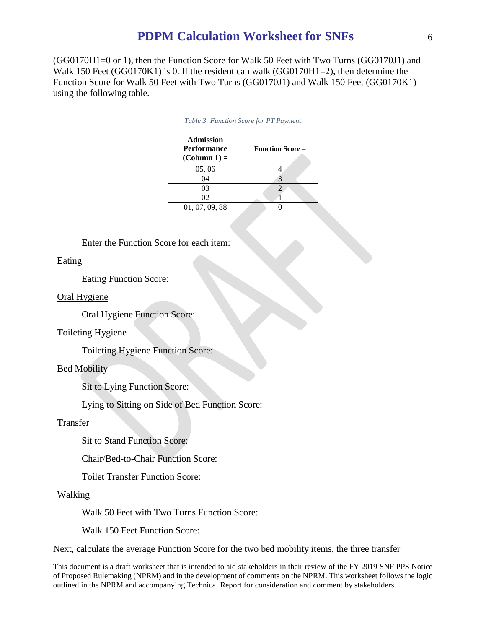(GG0170H1=0 or 1), then the Function Score for Walk 50 Feet with Two Turns (GG0170J1) and Walk 150 Feet (GG0170K1) is 0. If the resident can walk (GG0170H1=2), then determine the Function Score for Walk 50 Feet with Two Turns (GG0170J1) and Walk 150 Feet (GG0170K1) using the following table.

| <b>Admission</b><br><b>Performance</b><br>$(Column 1) =$ | <b>Function Score =</b> |
|----------------------------------------------------------|-------------------------|
| 05, 06                                                   |                         |
| 04                                                       |                         |
| 03                                                       |                         |
| 02                                                       |                         |
| 01, 07, 09, 88                                           |                         |

|  |  |  | Table 3: Function Score for PT Payment |
|--|--|--|----------------------------------------|
|--|--|--|----------------------------------------|

Enter the Function Score for each item:

#### **Eating**

Eating Function Score:

#### Oral Hygiene

Oral Hygiene Function Score:

#### Toileting Hygiene

Toileting Hygiene Function Score:

#### Bed Mobility

Sit to Lying Function Score:

Lying to Sitting on Side of Bed Function Score:

#### Transfer

Sit to Stand Function Score:

Chair/Bed-to-Chair Function Score:

Toilet Transfer Function Score:

#### Walking

Walk 50 Feet with Two Turns Function Score:

Walk 150 Feet Function Score: \_\_\_\_

Next, calculate the average Function Score for the two bed mobility items, the three transfer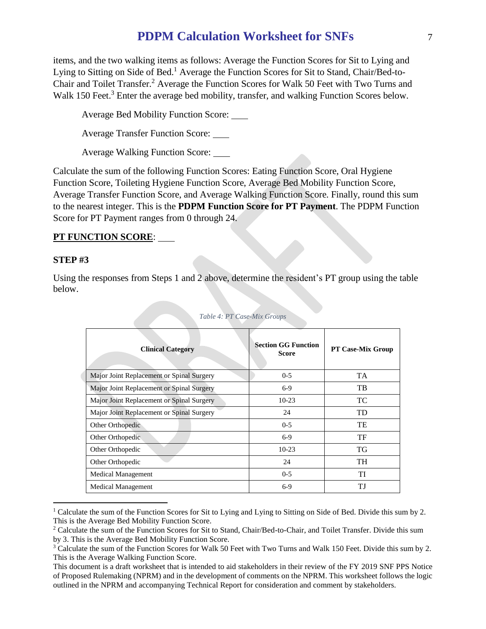items, and the two walking items as follows: Average the Function Scores for Sit to Lying and Lying to Sitting on Side of Bed.<sup>1</sup> Average the Function Scores for Sit to Stand, Chair/Bed-to-Chair and Toilet Transfer.<sup>2</sup> Average the Function Scores for Walk 50 Feet with Two Turns and Walk 150 Feet.<sup>3</sup> Enter the average bed mobility, transfer, and walking Function Scores below.

Average Bed Mobility Function Score:

Average Transfer Function Score:

Average Walking Function Score:

Calculate the sum of the following Function Scores: Eating Function Score, Oral Hygiene Function Score, Toileting Hygiene Function Score, Average Bed Mobility Function Score, Average Transfer Function Score, and Average Walking Function Score. Finally, round this sum to the nearest integer. This is the **PDPM Function Score for PT Payment**. The PDPM Function Score for PT Payment ranges from 0 through 24.

### **PT FUNCTION SCORE**:

#### **STEP #3**

 $\overline{a}$ 

Using the responses from Steps 1 and 2 above, determine the resident's PT group using the table below.

| <b>Clinical Category</b>                  | <b>Section GG Function</b><br><b>Score</b> | <b>PT Case-Mix Group</b> |
|-------------------------------------------|--------------------------------------------|--------------------------|
| Major Joint Replacement or Spinal Surgery | $0 - 5$                                    | <b>TA</b>                |
| Major Joint Replacement or Spinal Surgery | $6-9$                                      | TB                       |
| Major Joint Replacement or Spinal Surgery | $10-23$                                    | TC                       |
| Major Joint Replacement or Spinal Surgery | 24                                         | TD                       |
| Other Orthopedic                          | $0 - 5$                                    | TE                       |
| Other Orthopedic                          | $6-9$                                      | TF                       |
| Other Orthopedic                          | $10-23$                                    | <b>TG</b>                |
| Other Orthopedic                          | 24                                         | TH                       |
| <b>Medical Management</b>                 | $0 - 5$                                    | TI                       |
| Medical Management                        | $6-9$                                      | ТJ                       |

#### *Table 4: PT Case-Mix Groups*

<sup>&</sup>lt;sup>1</sup> Calculate the sum of the Function Scores for Sit to Lying and Lying to Sitting on Side of Bed. Divide this sum by 2. This is the Average Bed Mobility Function Score.

<sup>&</sup>lt;sup>2</sup> Calculate the sum of the Function Scores for Sit to Stand, Chair/Bed-to-Chair, and Toilet Transfer. Divide this sum by 3. This is the Average Bed Mobility Function Score.

<sup>&</sup>lt;sup>3</sup> Calculate the sum of the Function Scores for Walk 50 Feet with Two Turns and Walk 150 Feet. Divide this sum by 2. This is the Average Walking Function Score.

This document is a draft worksheet that is intended to aid stakeholders in their review of the FY 2019 SNF PPS Notice of Proposed Rulemaking (NPRM) and in the development of comments on the NPRM. This worksheet follows the logic outlined in the NPRM and accompanying Technical Report for consideration and comment by stakeholders.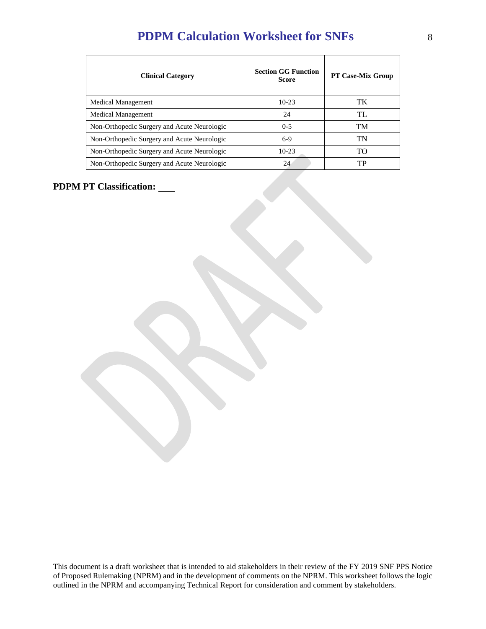| <b>Clinical Category</b>                    | <b>Section GG Function</b><br><b>Score</b> | <b>PT Case-Mix Group</b> |
|---------------------------------------------|--------------------------------------------|--------------------------|
| <b>Medical Management</b>                   | $10-23$                                    | TK                       |
| Medical Management                          | 24                                         | TL                       |
| Non-Orthopedic Surgery and Acute Neurologic | $0 - 5$                                    | <b>TM</b>                |
| Non-Orthopedic Surgery and Acute Neurologic | $6-9$                                      | TN                       |
| Non-Orthopedic Surgery and Acute Neurologic | $10-23$                                    | TΟ                       |
| Non-Orthopedic Surgery and Acute Neurologic | 24                                         | TP                       |

# **PDPM PT Classification:**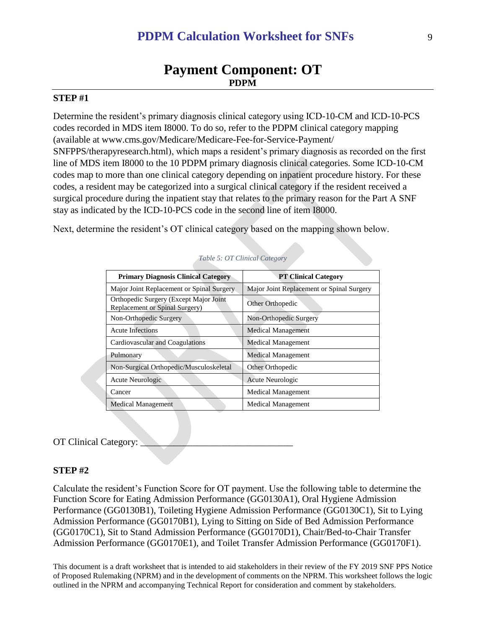# **Payment Component: OT PDPM**

## **STEP #1**

Determine the resident's primary diagnosis clinical category using ICD-10-CM and ICD-10-PCS codes recorded in MDS item I8000. To do so, refer to the PDPM clinical category mapping (available at www.cms.gov/Medicare/Medicare-Fee-for-Service-Payment/ SNFPPS/therapyresearch.html), which maps a resident's primary diagnosis as recorded on the first line of MDS item I8000 to the 10 PDPM primary diagnosis clinical categories. Some ICD-10-CM codes map to more than one clinical category depending on inpatient procedure history. For these codes, a resident may be categorized into a surgical clinical category if the resident received a surgical procedure during the inpatient stay that relates to the primary reason for the Part A SNF stay as indicated by the ICD-10-PCS code in the second line of item I8000.

Next, determine the resident's OT clinical category based on the mapping shown below.

| <b>Primary Diagnosis Clinical Category</b>                               | <b>PT Clinical Category</b>               |
|--------------------------------------------------------------------------|-------------------------------------------|
| Major Joint Replacement or Spinal Surgery                                | Major Joint Replacement or Spinal Surgery |
| Orthopedic Surgery (Except Major Joint<br>Replacement or Spinal Surgery) | Other Orthopedic                          |
| Non-Orthopedic Surgery                                                   | Non-Orthopedic Surgery                    |
| <b>Acute Infections</b>                                                  | <b>Medical Management</b>                 |
| Cardiovascular and Coagulations                                          | <b>Medical Management</b>                 |
| Pulmonary                                                                | <b>Medical Management</b>                 |
| Non-Surgical Orthopedic/Musculoskeletal                                  | Other Orthopedic                          |
| Acute Neurologic                                                         | Acute Neurologic                          |
| Cancer                                                                   | <b>Medical Management</b>                 |
| <b>Medical Management</b>                                                | <b>Medical Management</b>                 |

|  |  |  | Table 5: OT Clinical Category |
|--|--|--|-------------------------------|
|--|--|--|-------------------------------|

#### OT Clinical Category:

#### **STEP #2**

Calculate the resident's Function Score for OT payment. Use the following table to determine the Function Score for Eating Admission Performance (GG0130A1), Oral Hygiene Admission Performance (GG0130B1), Toileting Hygiene Admission Performance (GG0130C1), Sit to Lying Admission Performance (GG0170B1), Lying to Sitting on Side of Bed Admission Performance (GG0170C1), Sit to Stand Admission Performance (GG0170D1), Chair/Bed-to-Chair Transfer Admission Performance (GG0170E1), and Toilet Transfer Admission Performance (GG0170F1).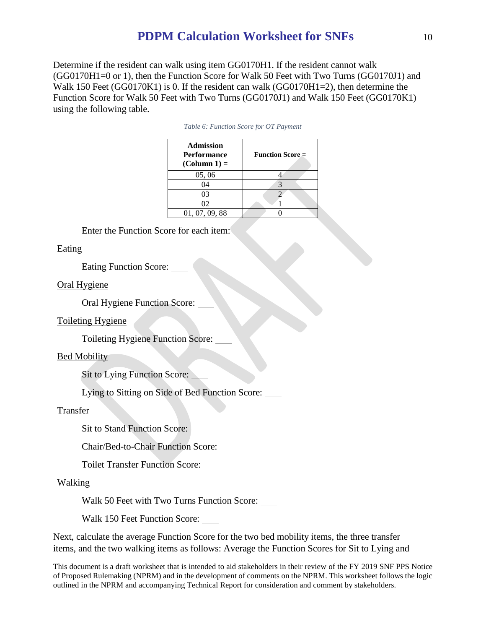Determine if the resident can walk using item GG0170H1. If the resident cannot walk (GG0170H1=0 or 1), then the Function Score for Walk 50 Feet with Two Turns (GG0170J1) and Walk 150 Feet (GG0170K1) is 0. If the resident can walk (GG0170H1=2), then determine the Function Score for Walk 50 Feet with Two Turns (GG0170J1) and Walk 150 Feet (GG0170K1) using the following table.

| <b>Admission</b><br><b>Performance</b><br>$\text{(Column 1)} =$ | <b>Function Score</b> $=$ |
|-----------------------------------------------------------------|---------------------------|
| 05, 06                                                          |                           |
| 04                                                              |                           |
| 03                                                              |                           |
| 02                                                              |                           |
| 01, 07, 09, 88                                                  |                           |

Enter the Function Score for each item:

#### Eating

Eating Function Score:

#### Oral Hygiene

Oral Hygiene Function Score:

#### Toileting Hygiene

Toileting Hygiene Function Score:

#### Bed Mobility

Sit to Lying Function Score:

Lying to Sitting on Side of Bed Function Score:

#### Transfer

Sit to Stand Function Score:

Chair/Bed-to-Chair Function Score:

Toilet Transfer Function Score:

#### Walking

Walk 50 Feet with Two Turns Function Score:

Walk 150 Feet Function Score:

Next, calculate the average Function Score for the two bed mobility items, the three transfer items, and the two walking items as follows: Average the Function Scores for Sit to Lying and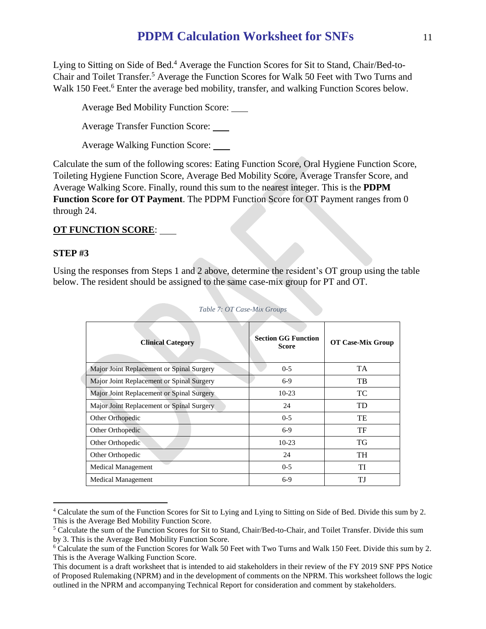Lying to Sitting on Side of Bed.<sup>4</sup> Average the Function Scores for Sit to Stand, Chair/Bed-to-Chair and Toilet Transfer.<sup>5</sup> Average the Function Scores for Walk 50 Feet with Two Turns and Walk 150 Feet.<sup>6</sup> Enter the average bed mobility, transfer, and walking Function Scores below.

Average Bed Mobility Function Score:

Average Transfer Function Score:

Average Walking Function Score:

Calculate the sum of the following scores: Eating Function Score, Oral Hygiene Function Score, Toileting Hygiene Function Score, Average Bed Mobility Score, Average Transfer Score, and Average Walking Score. Finally, round this sum to the nearest integer. This is the **PDPM Function Score for OT Payment**. The PDPM Function Score for OT Payment ranges from 0 through 24.

# **OT FUNCTION SCORE**:

## **STEP #3**

 $\overline{a}$ 

Using the responses from Steps 1 and 2 above, determine the resident's OT group using the table below. The resident should be assigned to the same case-mix group for PT and OT.

| <b>Clinical Category</b>                  | <b>Section GG Function</b><br><b>Score</b> | <b>OT Case-Mix Group</b> |
|-------------------------------------------|--------------------------------------------|--------------------------|
| Major Joint Replacement or Spinal Surgery | $0 - 5$                                    | <b>TA</b>                |
| Major Joint Replacement or Spinal Surgery | $6-9$                                      | TB                       |
| Major Joint Replacement or Spinal Surgery | $10-23$                                    | TC                       |
| Major Joint Replacement or Spinal Surgery | 24                                         | TD                       |
| Other Orthopedic                          | $0 - 5$                                    | TE                       |
| Other Orthopedic                          | $6-9$                                      | TF                       |
| Other Orthopedic                          | $10-23$                                    | TG                       |
| Other Orthopedic                          | 24                                         | TH                       |
| <b>Medical Management</b>                 | $0 - 5$                                    | TI                       |
| Medical Management                        | $6-9$                                      | ТJ                       |

*Table 7: OT Case-Mix Groups*

<sup>4</sup> Calculate the sum of the Function Scores for Sit to Lying and Lying to Sitting on Side of Bed. Divide this sum by 2. This is the Average Bed Mobility Function Score.

<sup>5</sup> Calculate the sum of the Function Scores for Sit to Stand, Chair/Bed-to-Chair, and Toilet Transfer. Divide this sum by 3. This is the Average Bed Mobility Function Score.

<sup>6</sup> Calculate the sum of the Function Scores for Walk 50 Feet with Two Turns and Walk 150 Feet. Divide this sum by 2. This is the Average Walking Function Score.

This document is a draft worksheet that is intended to aid stakeholders in their review of the FY 2019 SNF PPS Notice of Proposed Rulemaking (NPRM) and in the development of comments on the NPRM. This worksheet follows the logic outlined in the NPRM and accompanying Technical Report for consideration and comment by stakeholders.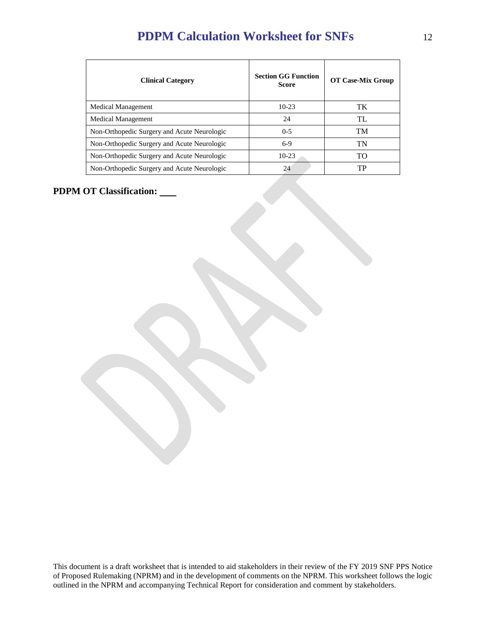| <b>Clinical Category</b>                    | <b>Section GG Function</b><br><b>Score</b> | <b>OT Case-Mix Group</b> |
|---------------------------------------------|--------------------------------------------|--------------------------|
| <b>Medical Management</b>                   | $10-23$                                    | TK                       |
| <b>Medical Management</b>                   | 24                                         | TL                       |
| Non-Orthopedic Surgery and Acute Neurologic | $0 - 5$                                    | TM                       |
| Non-Orthopedic Surgery and Acute Neurologic | $6-9$                                      | TN                       |
| Non-Orthopedic Surgery and Acute Neurologic | $10-23$                                    | TO                       |
| Non-Orthopedic Surgery and Acute Neurologic | 24                                         | TP                       |

**PDPM OT Classification:**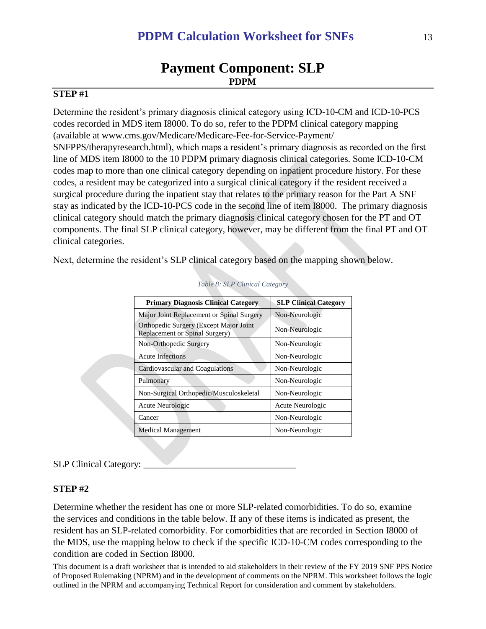# **Payment Component: SLP PDPM**

# **STEP #1**

Determine the resident's primary diagnosis clinical category using ICD-10-CM and ICD-10-PCS codes recorded in MDS item I8000. To do so, refer to the PDPM clinical category mapping (available at www.cms.gov/Medicare/Medicare-Fee-for-Service-Payment/ SNFPPS/therapyresearch.html), which maps a resident's primary diagnosis as recorded on the first line of MDS item I8000 to the 10 PDPM primary diagnosis clinical categories. Some ICD-10-CM codes map to more than one clinical category depending on inpatient procedure history. For these codes, a resident may be categorized into a surgical clinical category if the resident received a surgical procedure during the inpatient stay that relates to the primary reason for the Part A SNF stay as indicated by the ICD-10-PCS code in the second line of item I8000. The primary diagnosis clinical category should match the primary diagnosis clinical category chosen for the PT and OT components. The final SLP clinical category, however, may be different from the final PT and OT clinical categories.

Next, determine the resident's SLP clinical category based on the mapping shown below.

| <b>Primary Diagnosis Clinical Category</b>                               | <b>SLP Clinical Category</b> |
|--------------------------------------------------------------------------|------------------------------|
| Major Joint Replacement or Spinal Surgery                                | Non-Neurologic               |
| Orthopedic Surgery (Except Major Joint<br>Replacement or Spinal Surgery) | Non-Neurologic               |
| Non-Orthopedic Surgery                                                   | Non-Neurologic               |
| <b>Acute Infections</b>                                                  | Non-Neurologic               |
| Cardiovascular and Coagulations                                          | Non-Neurologic               |
| Pulmonary                                                                | Non-Neurologic               |
| Non-Surgical Orthopedic/Musculoskeletal                                  | Non-Neurologic               |
| Acute Neurologic                                                         | Acute Neurologic             |
| Cancer                                                                   | Non-Neurologic               |
| <b>Medical Management</b>                                                | Non-Neurologic               |
|                                                                          |                              |

#### *Table 8: SLP Clinical Category*

#### SLP Clinical Category:

#### **STEP #2**

Determine whether the resident has one or more SLP-related comorbidities. To do so, examine the services and conditions in the table below. If any of these items is indicated as present, the resident has an SLP-related comorbidity. For comorbidities that are recorded in Section I8000 of the MDS, use the mapping below to check if the specific ICD-10-CM codes corresponding to the condition are coded in Section I8000.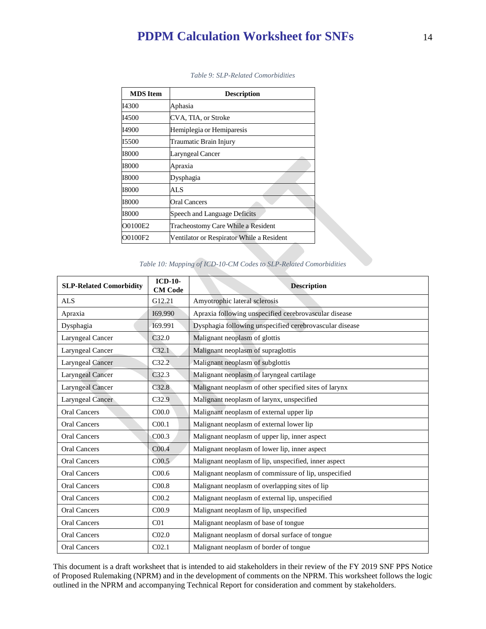| <b>MDS</b> Item | <b>Description</b>                        |
|-----------------|-------------------------------------------|
| 14300           | Aphasia                                   |
| 14500           | CVA, TIA, or Stroke                       |
| I4900           | Hemiplegia or Hemiparesis                 |
| 15500           | Traumatic Brain Injury                    |
| 18000           | <b>Laryngeal Cancer</b>                   |
| 18000           | Apraxia                                   |
| 18000           | Dysphagia                                 |
| 18000           | AL S                                      |
| 18000           | Oral Cancers                              |
| 18000           | Speech and Language Deficits              |
| O0100E2         | Tracheostomy Care While a Resident        |
| O0100F2         | Ventilator or Respirator While a Resident |

*Table 9: SLP-Related Comorbidities*

#### *Table 10: Mapping of ICD-10-CM Codes to SLP-Related Comorbidities*

| <b>SLP-Related Comorbidity</b> | <b>ICD-10-</b><br><b>CM Code</b> | <b>Description</b>                                      |
|--------------------------------|----------------------------------|---------------------------------------------------------|
| <b>ALS</b>                     | G12.21                           | Amyotrophic lateral sclerosis                           |
| Apraxia                        | I69.990                          | Apraxia following unspecified cerebrovascular disease   |
| Dysphagia                      | 169.991                          | Dysphagia following unspecified cerebrovascular disease |
| Laryngeal Cancer               | C32.0                            | Malignant neoplasm of glottis                           |
| Laryngeal Cancer               | C32.1                            | Malignant neoplasm of supraglottis                      |
| <b>Laryngeal Cancer</b>        | C32.2                            | Malignant neoplasm of subglottis                        |
| <b>Laryngeal Cancer</b>        | C32.3                            | Malignant neoplasm of laryngeal cartilage               |
| <b>Laryngeal Cancer</b>        | C32.8                            | Malignant neoplasm of other specified sites of larynx   |
| Laryngeal Cancer               | C32.9                            | Malignant neoplasm of larynx, unspecified               |
| <b>Oral Cancers</b>            | C <sub>00.0</sub>                | Malignant neoplasm of external upper lip                |
| <b>Oral Cancers</b>            | C <sub>00.1</sub>                | Malignant neoplasm of external lower lip                |
| <b>Oral Cancers</b>            | C <sub>00.3</sub>                | Malignant neoplasm of upper lip, inner aspect           |
| <b>Oral Cancers</b>            | C <sub>00.4</sub>                | Malignant neoplasm of lower lip, inner aspect           |
| <b>Oral Cancers</b>            | C <sub>00.5</sub>                | Malignant neoplasm of lip, unspecified, inner aspect    |
| <b>Oral Cancers</b>            | C <sub>00.6</sub>                | Malignant neoplasm of commissure of lip, unspecified    |
| <b>Oral Cancers</b>            | C <sub>00.8</sub>                | Malignant neoplasm of overlapping sites of lip          |
| <b>Oral Cancers</b>            | C <sub>00.2</sub>                | Malignant neoplasm of external lip, unspecified         |
| <b>Oral Cancers</b>            | C <sub>00.9</sub>                | Malignant neoplasm of lip, unspecified                  |
| <b>Oral Cancers</b>            | C <sub>01</sub>                  | Malignant neoplasm of base of tongue                    |
| <b>Oral Cancers</b>            | C <sub>02.0</sub>                | Malignant neoplasm of dorsal surface of tongue          |
| <b>Oral Cancers</b>            | CO <sub>2.1</sub>                | Malignant neoplasm of border of tongue                  |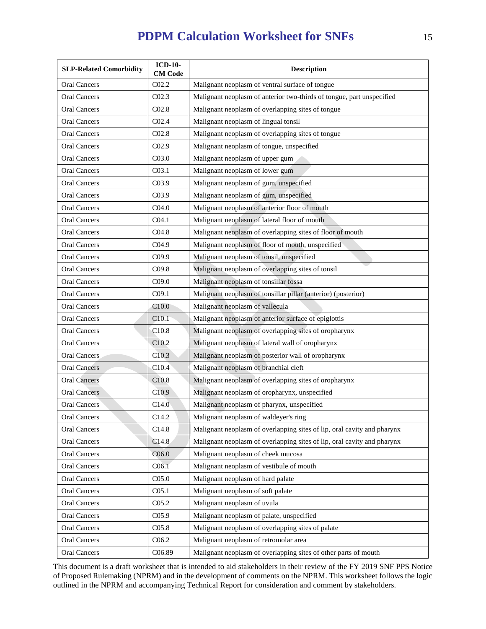| <b>SLP-Related Comorbidity</b> | <b>ICD-10-</b><br><b>CM</b> Code | <b>Description</b>                                                      |
|--------------------------------|----------------------------------|-------------------------------------------------------------------------|
| <b>Oral Cancers</b>            | CO2.2                            | Malignant neoplasm of ventral surface of tongue                         |
| <b>Oral Cancers</b>            | CO <sub>2.3</sub>                | Malignant neoplasm of anterior two-thirds of tongue, part unspecified   |
| <b>Oral Cancers</b>            | CO <sub>2.8</sub>                | Malignant neoplasm of overlapping sites of tongue                       |
| <b>Oral Cancers</b>            | CO <sub>2.4</sub>                | Malignant neoplasm of lingual tonsil                                    |
| <b>Oral Cancers</b>            | CO <sub>2.8</sub>                | Malignant neoplasm of overlapping sites of tongue                       |
| Oral Cancers                   | CO <sub>2.9</sub>                | Malignant neoplasm of tongue, unspecified                               |
| <b>Oral Cancers</b>            | C <sub>03.0</sub>                | Malignant neoplasm of upper gum                                         |
| <b>Oral Cancers</b>            | C <sub>03.1</sub>                | Malignant neoplasm of lower gum                                         |
| <b>Oral Cancers</b>            | C03.9                            | Malignant neoplasm of gum, unspecified                                  |
| <b>Oral Cancers</b>            | C <sub>03.9</sub>                | Malignant neoplasm of gum, unspecified                                  |
| <b>Oral Cancers</b>            | C <sub>04.0</sub>                | Malignant neoplasm of anterior floor of mouth                           |
| <b>Oral Cancers</b>            | C <sub>04.1</sub>                | Malignant neoplasm of lateral floor of mouth                            |
| <b>Oral Cancers</b>            | C <sub>04.8</sub>                | Malignant neoplasm of overlapping sites of floor of mouth               |
| <b>Oral Cancers</b>            | C <sub>04.9</sub>                | Malignant neoplasm of floor of mouth, unspecified                       |
| <b>Oral Cancers</b>            | C <sub>09.9</sub>                | Malignant neoplasm of tonsil, unspecified                               |
| Oral Cancers                   | C09.8                            | Malignant neoplasm of overlapping sites of tonsil                       |
| <b>Oral Cancers</b>            | C <sub>09.0</sub>                | Malignant neoplasm of tonsillar fossa                                   |
| <b>Oral Cancers</b>            | C <sub>09.1</sub>                | Malignant neoplasm of tonsillar pillar (anterior) (posterior)           |
| <b>Oral Cancers</b>            | C10.0                            | Malignant neoplasm of vallecula                                         |
| <b>Oral Cancers</b>            | C <sub>10.1</sub>                | Malignant neoplasm of anterior surface of epiglottis                    |
| <b>Oral Cancers</b>            | C10.8                            | Malignant neoplasm of overlapping sites of oropharynx                   |
| <b>Oral Cancers</b>            | C <sub>10.2</sub>                | Malignant neoplasm of lateral wall of oropharynx                        |
| <b>Oral Cancers</b>            | C10.3                            | Malignant neoplasm of posterior wall of oropharynx                      |
| <b>Oral Cancers</b>            | C10.4                            | Malignant neoplasm of branchial cleft                                   |
| <b>Oral Cancers</b>            | C10.8                            | Malignant neoplasm of overlapping sites of oropharynx                   |
| <b>Oral Cancers</b>            | C10.9                            | Malignant neoplasm of oropharynx, unspecified                           |
| Oral Cancers                   | C14.0                            | Malignant neoplasm of pharynx, unspecified                              |
| <b>Oral Cancers</b>            | C14.2                            | Malignant neoplasm of waldeyer's ring                                   |
| Oral Cancers                   | C <sub>14.8</sub>                | Malignant neoplasm of overlapping sites of lip, oral cavity and pharynx |
| <b>Oral Cancers</b>            | C14.8                            | Malignant neoplasm of overlapping sites of lip, oral cavity and pharynx |
| <b>Oral Cancers</b>            | C <sub>06.0</sub>                | Malignant neoplasm of cheek mucosa                                      |
| Oral Cancers                   | C <sub>06.1</sub>                | Malignant neoplasm of vestibule of mouth                                |
| Oral Cancers                   | C <sub>05.0</sub>                | Malignant neoplasm of hard palate                                       |
| <b>Oral Cancers</b>            | C <sub>05.1</sub>                | Malignant neoplasm of soft palate                                       |
| Oral Cancers                   | C <sub>05.2</sub>                | Malignant neoplasm of uvula                                             |
| <b>Oral Cancers</b>            | C <sub>05.9</sub>                | Malignant neoplasm of palate, unspecified                               |
| Oral Cancers                   | C <sub>05.8</sub>                | Malignant neoplasm of overlapping sites of palate                       |
| <b>Oral Cancers</b>            | C <sub>06.2</sub>                | Malignant neoplasm of retromolar area                                   |
| <b>Oral Cancers</b>            | C06.89                           | Malignant neoplasm of overlapping sites of other parts of mouth         |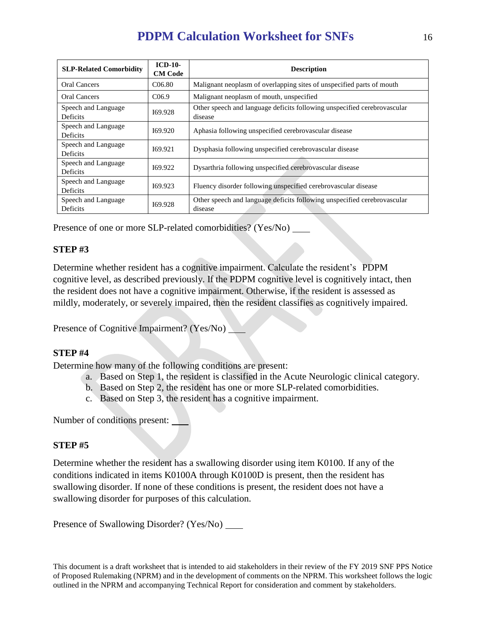| <b>SLP-Related Comorbidity</b>         | $ICD-10-$<br><b>CM Code</b> | <b>Description</b>                                                                  |  |
|----------------------------------------|-----------------------------|-------------------------------------------------------------------------------------|--|
| Oral Cancers                           | C <sub>06.80</sub>          | Malignant neoplasm of overlapping sites of unspecified parts of mouth               |  |
| Oral Cancers                           | C <sub>06.9</sub>           | Malignant neoplasm of mouth, unspecified                                            |  |
| Speech and Language<br><b>Deficits</b> | 169.928                     | Other speech and language deficits following unspecified cerebrovascular<br>disease |  |
| Speech and Language<br>Deficits        | 169.920                     | Aphasia following unspecified cerebrovascular disease                               |  |
| Speech and Language<br>Deficits        | 169.921                     | Dysphasia following unspecified cerebrovascular disease                             |  |
| Speech and Language<br><b>Deficits</b> | 169.922                     | Dysarthria following unspecified cerebrovascular disease                            |  |
| Speech and Language<br>Deficits        | 169.923                     | Fluency disorder following unspecified cerebrovascular disease                      |  |
| Speech and Language<br>Deficits        | 169.928                     | Other speech and language deficits following unspecified cerebrovascular<br>disease |  |

Presence of one or more SLP-related comorbidities? (Yes/No)

# **STEP #3**

Determine whether resident has a cognitive impairment. Calculate the resident's PDPM cognitive level, as described previously. If the PDPM cognitive level is cognitively intact, then the resident does not have a cognitive impairment. Otherwise, if the resident is assessed as mildly, moderately, or severely impaired, then the resident classifies as cognitively impaired.

Presence of Cognitive Impairment? (Yes/No)

# **STEP #4**

Determine how many of the following conditions are present:

- a. Based on Step 1, the resident is classified in the Acute Neurologic clinical category.
- b. Based on Step 2, the resident has one or more SLP-related comorbidities.
- c. Based on Step 3, the resident has a cognitive impairment.

Number of conditions present:

# **STEP #5**

Determine whether the resident has a swallowing disorder using item K0100. If any of the conditions indicated in items K0100A through K0100D is present, then the resident has swallowing disorder. If none of these conditions is present, the resident does not have a swallowing disorder for purposes of this calculation.

Presence of Swallowing Disorder? (Yes/No) \_\_\_\_\_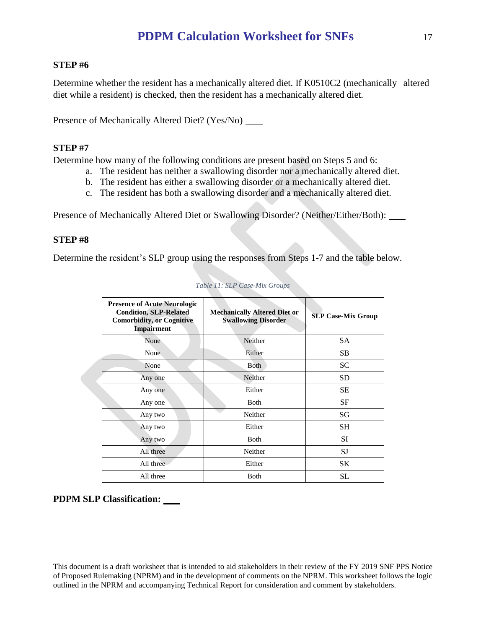### **STEP #6**

Determine whether the resident has a mechanically altered diet. If K0510C2 (mechanically altered diet while a resident) is checked, then the resident has a mechanically altered diet.

Presence of Mechanically Altered Diet? (Yes/No) \_\_\_\_\_

### **STEP #7**

Determine how many of the following conditions are present based on Steps 5 and 6:

- a. The resident has neither a swallowing disorder nor a mechanically altered diet.
- b. The resident has either a swallowing disorder or a mechanically altered diet.
- c. The resident has both a swallowing disorder and a mechanically altered diet.

Presence of Mechanically Altered Diet or Swallowing Disorder? (Neither/Either/Both):

### **STEP #8**

Determine the resident's SLP group using the responses from Steps 1-7 and the table below.

| <b>Presence of Acute Neurologic</b><br><b>Condition, SLP-Related</b><br><b>Comorbidity, or Cognitive</b><br><b>Impairment</b> | <b>Mechanically Altered Diet or</b><br><b>Swallowing Disorder</b> | <b>SLP Case-Mix Group</b> |
|-------------------------------------------------------------------------------------------------------------------------------|-------------------------------------------------------------------|---------------------------|
| None                                                                                                                          | Neither                                                           | <b>SA</b>                 |
| None                                                                                                                          | Either                                                            | SB                        |
| None                                                                                                                          | <b>B</b> oth                                                      | <b>SC</b>                 |
| Any one                                                                                                                       | Neither                                                           | SD                        |
| Any one                                                                                                                       | Either                                                            | <b>SE</b>                 |
| Any one                                                                                                                       | <b>Both</b>                                                       | SF                        |
| Any two                                                                                                                       | Neither                                                           | SG                        |
| Any two                                                                                                                       | Either                                                            | <b>SH</b>                 |
| Any two                                                                                                                       | <b>B</b> oth                                                      | SI                        |
| All three                                                                                                                     | Neither                                                           | SJ                        |
| All three                                                                                                                     | Either                                                            | <b>SK</b>                 |
| All three                                                                                                                     | Both                                                              | SL                        |

#### *Table 11: SLP Case-Mix Groups*

#### **PDPM SLP Classification:**

This document is a draft worksheet that is intended to aid stakeholders in their review of the FY 2019 SNF PPS Notice of Proposed Rulemaking (NPRM) and in the development of comments on the NPRM. This worksheet follows the logic outlined in the NPRM and accompanying Technical Report for consideration and comment by stakeholders.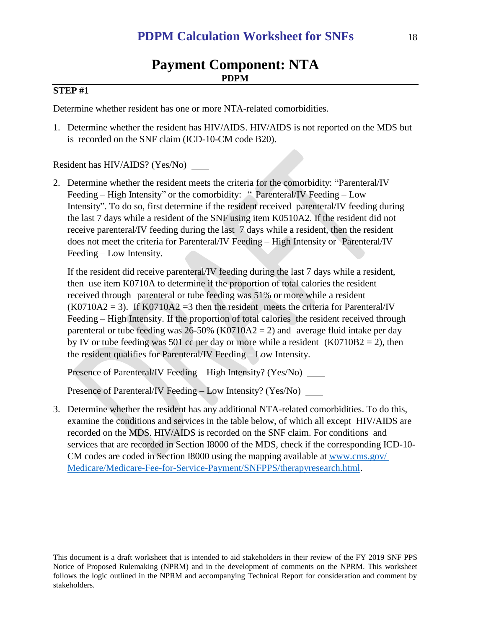## **STEP #1**

Determine whether resident has one or more NTA-related comorbidities.

1. Determine whether the resident has HIV/AIDS. HIV/AIDS is not reported on the MDS but is recorded on the SNF claim (ICD-10-CM code B20).

Resident has HIV/AIDS? (Yes/No)

2. Determine whether the resident meets the criteria for the comorbidity: "Parenteral/IV Feeding – High Intensity" or the comorbidity: "Parenteral/IV Feeding – Low Intensity". To do so, first determine if the resident received parenteral/IV feeding during the last 7 days while a resident of the SNF using item K0510A2. If the resident did not receive parenteral/IV feeding during the last 7 days while a resident, then the resident does not meet the criteria for Parenteral/IV Feeding – High Intensity or Parenteral/IV Feeding – Low Intensity.

If the resident did receive parenteral/IV feeding during the last 7 days while a resident, then use item K0710A to determine if the proportion of total calories the resident received through parenteral or tube feeding was 51% or more while a resident  $(K0710A2 = 3)$ . If  $K0710A2 = 3$  then the resident meets the criteria for Parenteral/IV Feeding – High Intensity. If the proportion of total calories the resident received through parenteral or tube feeding was  $26-50\%$  (K0710A2 = 2) and average fluid intake per day by IV or tube feeding was 501 cc per day or more while a resident  $(K0710B2 = 2)$ , then the resident qualifies for Parenteral/IV Feeding – Low Intensity.

Presence of Parenteral/IV Feeding – High Intensity? (Yes/No)

Presence of Parenteral/IV Feeding – Low Intensity? (Yes/No)

3. Determine whether the resident has any additional NTA-related comorbidities. To do this, examine the conditions and services in the table below, of which all except HIV/AIDS are recorded on the MDS. HIV/AIDS is recorded on the SNF claim. For conditions and services that are recorded in Section I8000 of the MDS, check if the corresponding ICD-10- CM codes are coded in Section I8000 using the mapping available at [www.cms.gov/](http://www.cms.gov/%20Medicare/Medicare-Fee-for-Service-Payment/SNFPPS/therapyresearch.html)  [Medicare/Medicare-Fee-for-Service-Payment/SNFPPS/therapyresearch.html.](http://www.cms.gov/%20Medicare/Medicare-Fee-for-Service-Payment/SNFPPS/therapyresearch.html)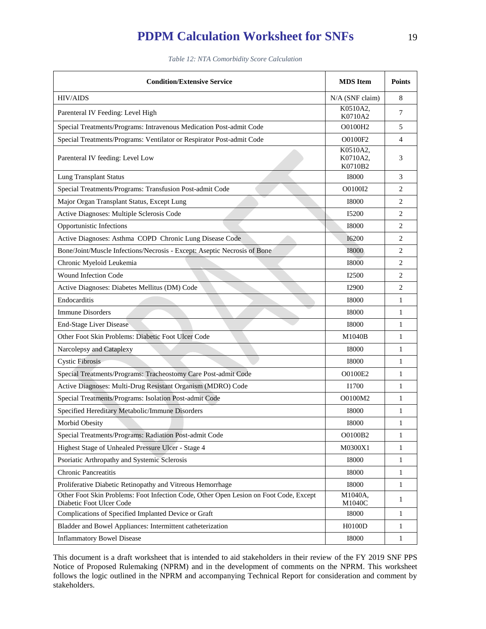*Table 12: NTA Comorbidity Score Calculation*

| <b>Condition/Extensive Service</b>                                                                                | <b>MDS</b> Item                 | <b>Points</b>  |
|-------------------------------------------------------------------------------------------------------------------|---------------------------------|----------------|
| <b>HIV/AIDS</b>                                                                                                   | N/A (SNF claim)                 | 8              |
| Parenteral IV Feeding: Level High                                                                                 | K0510A2,<br>K0710A2             | 7              |
| Special Treatments/Programs: Intravenous Medication Post-admit Code                                               | O0100H2                         | 5              |
| Special Treatments/Programs: Ventilator or Respirator Post-admit Code                                             | O0100F2                         | 4              |
| Parenteral IV feeding: Level Low                                                                                  | K0510A2,<br>K0710A2,<br>K0710B2 | 3              |
| <b>Lung Transplant Status</b>                                                                                     | <b>I8000</b>                    | 3              |
| Special Treatments/Programs: Transfusion Post-admit Code                                                          | O0100I2                         | $\overline{c}$ |
| Major Organ Transplant Status, Except Lung                                                                        | <b>I8000</b>                    | 2              |
| Active Diagnoses: Multiple Sclerosis Code                                                                         | I5200                           | $\overline{c}$ |
| Opportunistic Infections                                                                                          | <b>I8000</b>                    | $\overline{c}$ |
| Active Diagnoses: Asthma COPD Chronic Lung Disease Code                                                           | <b>I6200</b>                    | $\overline{2}$ |
| Bone/Joint/Muscle Infections/Necrosis - Except: Aseptic Necrosis of Bone                                          | <b>I8000</b>                    | 2              |
| Chronic Myeloid Leukemia                                                                                          | 18000                           | $\overline{c}$ |
| Wound Infection Code                                                                                              | <b>I2500</b>                    | 2              |
| Active Diagnoses: Diabetes Mellitus (DM) Code                                                                     | I2900                           | $\overline{c}$ |
| Endocarditis                                                                                                      | <b>I8000</b>                    | $\mathbf{1}$   |
| <b>Immune Disorders</b>                                                                                           | 18000                           | 1              |
| <b>End-Stage Liver Disease</b>                                                                                    | <b>I8000</b>                    | 1              |
| Other Foot Skin Problems: Diabetic Foot Ulcer Code                                                                | M1040B                          | $\mathbf{1}$   |
| Narcolepsy and Cataplexy                                                                                          | <b>I8000</b>                    | 1              |
| <b>Cystic Fibrosis</b>                                                                                            | <b>I8000</b>                    | 1              |
| Special Treatments/Programs: Tracheostomy Care Post-admit Code                                                    | O0100E2                         | 1              |
| Active Diagnoses: Multi-Drug Resistant Organism (MDRO) Code                                                       | I1700                           | 1              |
| Special Treatments/Programs: Isolation Post-admit Code                                                            | O0100M2                         | 1              |
| Specified Hereditary Metabolic/Immune Disorders                                                                   | <b>I8000</b>                    | 1              |
| Morbid Obesity                                                                                                    | <b>I8000</b>                    | 1              |
| Special Treatments/Programs: Radiation Post-admit Code                                                            | O0100B2                         | $\mathbf{1}$   |
| Highest Stage of Unhealed Pressure Ulcer - Stage 4                                                                | M0300X1                         | $\mathbf{1}$   |
| Psoriatic Arthropathy and Systemic Sclerosis                                                                      | <b>I8000</b>                    | $\mathbf{1}$   |
| <b>Chronic Pancreatitis</b>                                                                                       | <b>I8000</b>                    | 1              |
| Proliferative Diabetic Retinopathy and Vitreous Hemorrhage                                                        | 18000                           | $\mathbf{1}$   |
| Other Foot Skin Problems: Foot Infection Code, Other Open Lesion on Foot Code, Except<br>Diabetic Foot Ulcer Code | M1040A,<br>M1040C               | $\mathbf{1}$   |
| Complications of Specified Implanted Device or Graft                                                              | <b>I8000</b>                    | $\mathbf{1}$   |
| Bladder and Bowel Appliances: Intermittent catheterization                                                        | H0100D                          | $\mathbf{1}$   |
| <b>Inflammatory Bowel Disease</b>                                                                                 | <b>I8000</b>                    | $\mathbf{1}$   |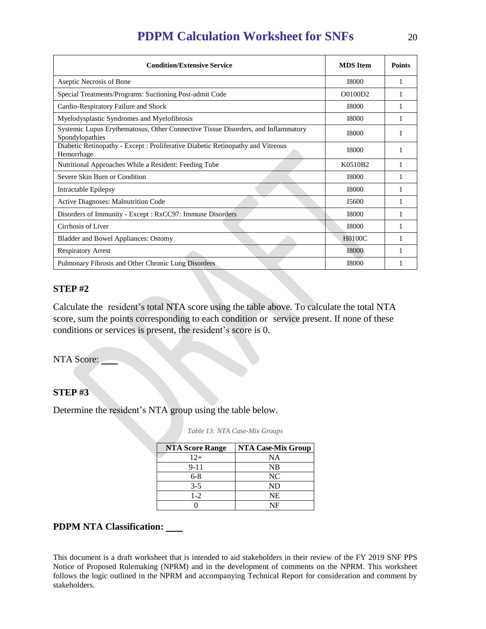| <b>Condition/Extensive Service</b>                                                                   | <b>MDS</b> Item | <b>Points</b> |
|------------------------------------------------------------------------------------------------------|-----------------|---------------|
| Aseptic Necrosis of Bone                                                                             | <b>I8000</b>    |               |
| Special Treatments/Programs: Suctioning Post-admit Code                                              | O0100D2         |               |
| Cardio-Respiratory Failure and Shock                                                                 | 18000           |               |
| Myelodysplastic Syndromes and Myelofibrosis                                                          | <b>I8000</b>    |               |
| Systemic Lupus Erythematosus, Other Connective Tissue Disorders, and Inflammatory<br>Spondylopathies | <b>I8000</b>    |               |
| Diabetic Retinopathy - Except : Proliferative Diabetic Retinopathy and Vitreous<br>Hemorrhage        | 18000           |               |
| Nutritional Approaches While a Resident: Feeding Tube                                                | K0510B2         |               |
| Severe Skin Burn or Condition                                                                        | <b>I8000</b>    |               |
| Intractable Epilepsy                                                                                 | <b>I8000</b>    |               |
| <b>Active Diagnoses: Malnutrition Code</b>                                                           | I5600           |               |
| Disorders of Immunity - Except : RxCC97: Immune Disorders                                            | <b>I8000</b>    |               |
| Cirrhosis of Liver                                                                                   | <b>I8000</b>    |               |
| <b>Bladder and Bowel Appliances: Ostomy</b>                                                          | <b>H0100C</b>   |               |
| <b>Respiratory Arrest</b>                                                                            | <b>I8000</b>    |               |
| Pulmonary Fibrosis and Other Chronic Lung Disorders                                                  | <b>I8000</b>    |               |

# **STEP #2**

Calculate the resident's total NTA score using the table above. To calculate the total NTA score, sum the points corresponding to each condition or service present. If none of these conditions or services is present, the resident's score is 0.

NTA Score:

## **STEP #3**

Determine the resident's NTA group using the table below.

| <b>NTA Score Range</b> | <b>NTA Case-Mix Group</b> |
|------------------------|---------------------------|
| $12+$                  | NA                        |
| $9 - 11$               | <b>NB</b>                 |
| $6 - 8$                | NC                        |
| $3 - 5$                | ND                        |
| $1-2$                  | NE                        |
|                        | NF                        |

*Table 13: NTA Case-Mix Groups*

## **PDPM NTA Classification:**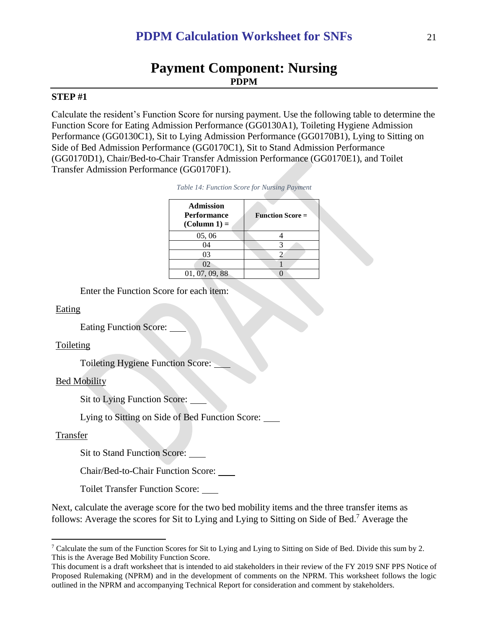# **Payment Component: Nursing PDPM**

#### **STEP #1**

Calculate the resident's Function Score for nursing payment. Use the following table to determine the Function Score for Eating Admission Performance (GG0130A1), Toileting Hygiene Admission Performance (GG0130C1), Sit to Lying Admission Performance (GG0170B1), Lying to Sitting on Side of Bed Admission Performance (GG0170C1), Sit to Stand Admission Performance (GG0170D1), Chair/Bed-to-Chair Transfer Admission Performance (GG0170E1), and Toilet Transfer Admission Performance (GG0170F1).

| Table 14: Function Score for Nursing Payment |  |  |  |  |
|----------------------------------------------|--|--|--|--|
|----------------------------------------------|--|--|--|--|

**Admin**stration

| Admission<br><b>Performance</b><br>$(Column 1) =$ | <b>Function Score =</b> |
|---------------------------------------------------|-------------------------|
| 05,06                                             |                         |
| 04                                                |                         |
| 03                                                |                         |
| 02                                                |                         |
| 01, 07, 09, 88                                    |                         |

Enter the Function Score for each item:

Eating

Eating Function Score:

#### Toileting

Toileting Hygiene Function Score:

#### Bed Mobility

Sit to Lying Function Score:

Lying to Sitting on Side of Bed Function Score:

#### Transfer

 $\overline{a}$ 

Sit to Stand Function Score:

Chair/Bed-to-Chair Function Score:

Toilet Transfer Function Score:

Next, calculate the average score for the two bed mobility items and the three transfer items as follows: Average the scores for Sit to Lying and Lying to Sitting on Side of Bed.<sup>7</sup> Average the

<sup>7</sup> Calculate the sum of the Function Scores for Sit to Lying and Lying to Sitting on Side of Bed. Divide this sum by 2. This is the Average Bed Mobility Function Score.

This document is a draft worksheet that is intended to aid stakeholders in their review of the FY 2019 SNF PPS Notice of Proposed Rulemaking (NPRM) and in the development of comments on the NPRM. This worksheet follows the logic outlined in the NPRM and accompanying Technical Report for consideration and comment by stakeholders.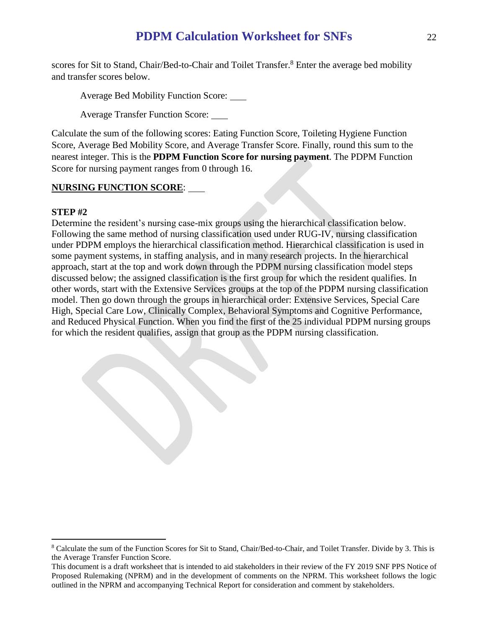scores for Sit to Stand, Chair/Bed-to-Chair and Toilet Transfer.<sup>8</sup> Enter the average bed mobility and transfer scores below.

Average Bed Mobility Function Score:

Average Transfer Function Score:

Calculate the sum of the following scores: Eating Function Score, Toileting Hygiene Function Score, Average Bed Mobility Score, and Average Transfer Score. Finally, round this sum to the nearest integer. This is the **PDPM Function Score for nursing payment**. The PDPM Function Score for nursing payment ranges from 0 through 16.

# **NURSING FUNCTION SCORE**:

## **STEP #2**

 $\overline{a}$ 

Determine the resident's nursing case-mix groups using the hierarchical classification below. Following the same method of nursing classification used under RUG-IV, nursing classification under PDPM employs the hierarchical classification method. Hierarchical classification is used in some payment systems, in staffing analysis, and in many research projects. In the hierarchical approach, start at the top and work down through the PDPM nursing classification model steps discussed below; the assigned classification is the first group for which the resident qualifies. In other words, start with the Extensive Services groups at the top of the PDPM nursing classification model. Then go down through the groups in hierarchical order: Extensive Services, Special Care High, Special Care Low, Clinically Complex, Behavioral Symptoms and Cognitive Performance, and Reduced Physical Function. When you find the first of the 25 individual PDPM nursing groups for which the resident qualifies, assign that group as the PDPM nursing classification.

<sup>&</sup>lt;sup>8</sup> Calculate the sum of the Function Scores for Sit to Stand, Chair/Bed-to-Chair, and Toilet Transfer. Divide by 3. This is the Average Transfer Function Score.

This document is a draft worksheet that is intended to aid stakeholders in their review of the FY 2019 SNF PPS Notice of Proposed Rulemaking (NPRM) and in the development of comments on the NPRM. This worksheet follows the logic outlined in the NPRM and accompanying Technical Report for consideration and comment by stakeholders.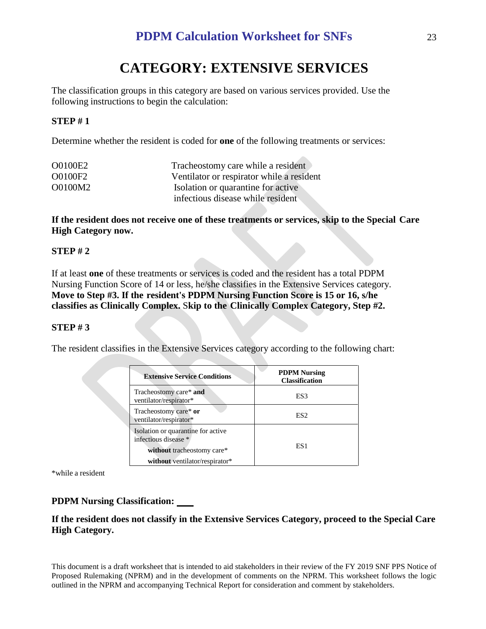# **CATEGORY: EXTENSIVE SERVICES**

The classification groups in this category are based on various services provided. Use the following instructions to begin the calculation:

## **STEP # 1**

Determine whether the resident is coded for **one** of the following treatments or services:

| O0100E2 | Tracheostomy care while a resident        |
|---------|-------------------------------------------|
| O0100F2 | Ventilator or respirator while a resident |
| O0100M2 | Isolation or quarantine for active        |
|         | infectious disease while resident         |

**If the resident does not receive one of these treatments or services, skip to the Special Care High Category now.**

## **STEP # 2**

If at least **one** of these treatments or services is coded and the resident has a total PDPM Nursing Function Score of 14 or less, he/she classifies in the Extensive Services category. **Move to Step #3. If the resident's PDPM Nursing Function Score is 15 or 16, s/he classifies as Clinically Complex.** S**kip to the Clinically Complex Category, Step #2.**

## **STEP # 3**

The resident classifies in the Extensive Services category according to the following chart:

| <b>Extensive Service Conditions</b>                                                      | <b>PDPM Nursing</b><br><b>Classification</b> |
|------------------------------------------------------------------------------------------|----------------------------------------------|
| Tracheostomy care* and<br>ventilator/respirator*                                         | ES3                                          |
| Tracheostomy care* or<br>ventilator/respirator*                                          | ES <sub>2</sub>                              |
| Isolation or quarantine for active<br>infectious disease *<br>without tracheostomy care* | ES <sub>1</sub>                              |
| without ventilator/respirator*                                                           |                                              |

\*while a resident

## **PDPM Nursing Classification:**

## **If the resident does not classify in the Extensive Services Category, proceed to the Special Care High Category.**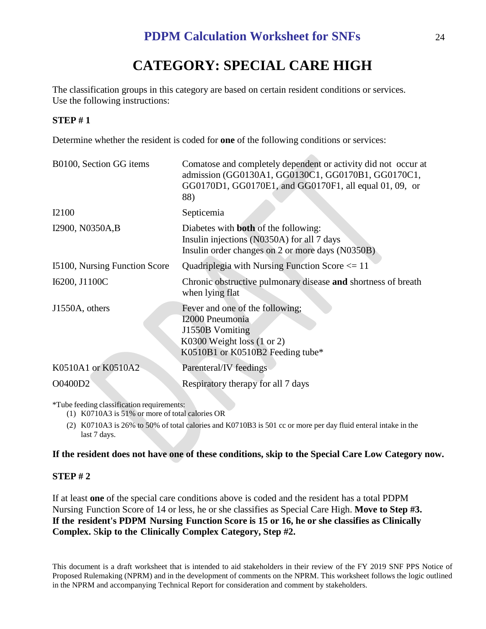# **CATEGORY: SPECIAL CARE HIGH**

The classification groups in this category are based on certain resident conditions or services. Use the following instructions:

# **STEP # 1**

Determine whether the resident is coded for **one** of the following conditions or services:

| B0100, Section GG items       | Comatose and completely dependent or activity did not occur at<br>admission (GG0130A1, GG0130C1, GG0170B1, GG0170C1,<br>GG0170D1, GG0170E1, and GG0170F1, all equal 01, 09, or<br>88) |
|-------------------------------|---------------------------------------------------------------------------------------------------------------------------------------------------------------------------------------|
| <b>I2100</b>                  | Septicemia                                                                                                                                                                            |
| I2900, N0350A,B               | Diabetes with <b>both</b> of the following:<br>Insulin injections (N0350A) for all 7 days<br>Insulin order changes on 2 or more days (N0350B)                                         |
| 15100, Nursing Function Score | Quadriplegia with Nursing Function Score $\leq 11$                                                                                                                                    |
| I6200, J1100C                 | Chronic obstructive pulmonary disease and shortness of breath<br>when lying flat                                                                                                      |
| J1550A, others                | Fever and one of the following;<br>I2000 Pneumonia<br>J1550B Vomiting<br>K0300 Weight loss $(1 or 2)$<br>K0510B1 or K0510B2 Feeding tube*                                             |
| K0510A1 or K0510A2            | Parenteral/IV feedings                                                                                                                                                                |
| O0400D2                       | Respiratory therapy for all 7 days                                                                                                                                                    |

\*Tube feeding classification requirements:

- (1) K0710A3 is 51% or more of total calories OR
- (2) K0710A3 is 26% to 50% of total calories and K0710B3 is 501 cc or more per day fluid enteral intake in the last 7 days.

## **If the resident does not have one of these conditions, skip to the Special Care Low Category now.**

# **STEP # 2**

If at least **one** of the special care conditions above is coded and the resident has a total PDPM Nursing Function Score of 14 or less, he or she classifies as Special Care High. **Move to Step #3. If the resident's PDPM Nursing Function Score is 15 or 16, he or she classifies as Clinically Complex.** S**kip to the Clinically Complex Category, Step #2.**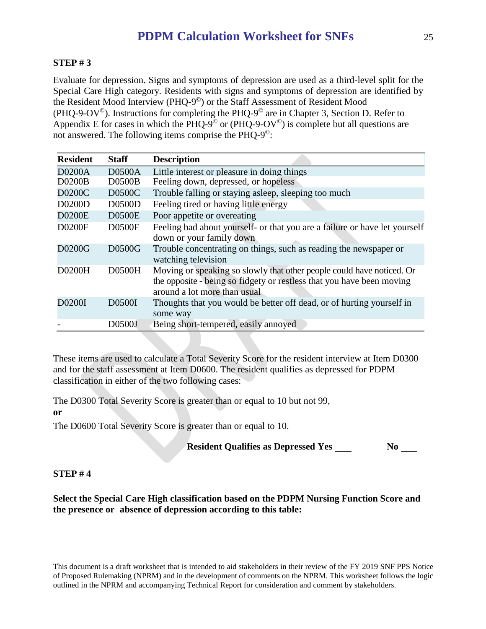### **STEP # 3**

Evaluate for depression. Signs and symptoms of depression are used as a third-level split for the Special Care High category. Residents with signs and symptoms of depression are identified by the Resident Mood Interview (PHQ-9 ©) or the Staff Assessment of Resident Mood (PHQ-9-OV<sup>©</sup>). Instructions for completing the PHQ-9<sup>©</sup> are in Chapter 3, Section D. Refer to Appendix E for cases in which the PHQ-9<sup> $\degree$ </sup> or (PHQ-9-OV $\degree$ ) is complete but all questions are not answered. The following items comprise the PHQ-9<sup>®</sup>:

| <b>Resident</b> | <b>Staff</b>  | <b>Description</b>                                                                                                                                                             |
|-----------------|---------------|--------------------------------------------------------------------------------------------------------------------------------------------------------------------------------|
| <b>D0200A</b>   | <b>D0500A</b> | Little interest or pleasure in doing things                                                                                                                                    |
| <b>D0200B</b>   | <b>D0500B</b> | Feeling down, depressed, or hopeless                                                                                                                                           |
| D0200C          | D0500C        | Trouble falling or staying asleep, sleeping too much                                                                                                                           |
| D0200D          | <b>D0500D</b> | Feeling tired or having little energy                                                                                                                                          |
| <b>D0200E</b>   | <b>D0500E</b> | Poor appetite or overeating                                                                                                                                                    |
| <b>D0200F</b>   | <b>D0500F</b> | Feeling bad about yourself- or that you are a failure or have let yourself<br>down or your family down                                                                         |
| D0200G          | D0500G        | Trouble concentrating on things, such as reading the newspaper or<br>watching television                                                                                       |
| D0200H          | <b>D0500H</b> | Moving or speaking so slowly that other people could have noticed. Or<br>the opposite - being so fidgety or restless that you have been moving<br>around a lot more than usual |
| D0200I          | D0500I        | Thoughts that you would be better off dead, or of hurting yourself in<br>some way                                                                                              |
|                 | D0500J        | Being short-tempered, easily annoyed                                                                                                                                           |

These items are used to calculate a Total Severity Score for the resident interview at Item D0300 and for the staff assessment at Item D0600. The resident qualifies as depressed for PDPM classification in either of the two following cases:

The D0300 Total Severity Score is greater than or equal to 10 but not 99, **or**

The D0600 Total Severity Score is greater than or equal to 10.

**Resident Qualifies as Depressed Yes \_\_\_\_\_ No \_\_\_\_** 

## **STEP # 4**

**Select the Special Care High classification based on the PDPM Nursing Function Score and the presence or absence of depression according to this table:**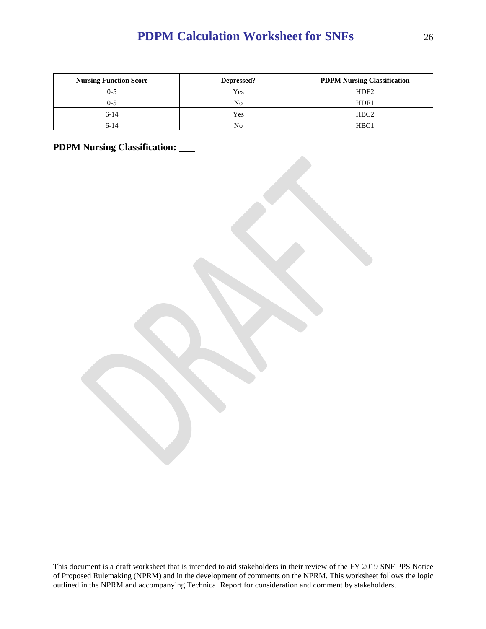| <b>Nursing Function Score</b> | Depressed? | <b>PDPM Nursing Classification</b> |
|-------------------------------|------------|------------------------------------|
|                               | Yes        | HDE <sub>2</sub>                   |
| ი-5                           | No         | HDE <sub>1</sub>                   |
| $6-14$                        | Yes        | HBC <sub>2</sub>                   |
| 6-14                          | Nο         | HBC <sub>1</sub>                   |

**PDPM Nursing Classification:**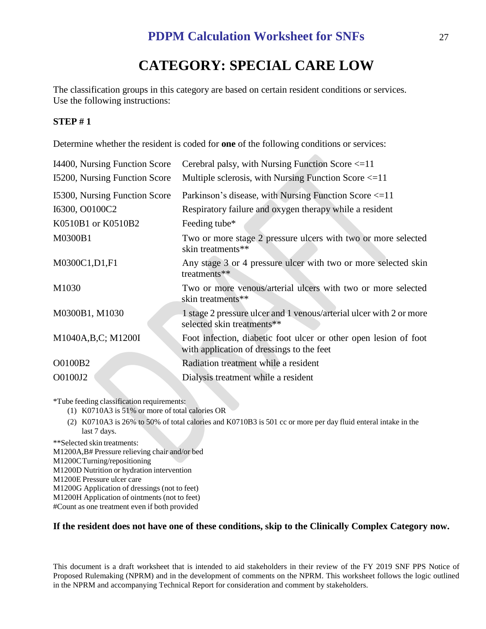# **CATEGORY: SPECIAL CARE LOW**

The classification groups in this category are based on certain resident conditions or services. Use the following instructions:

# **STEP # 1**

Determine whether the resident is coded for **one** of the following conditions or services:

| 14400, Nursing Function Score | Cerebral palsy, with Nursing Function Score $\leq 11$                                                         |
|-------------------------------|---------------------------------------------------------------------------------------------------------------|
| 15200, Nursing Function Score | Multiple sclerosis, with Nursing Function Score $\leq 11$                                                     |
| 15300, Nursing Function Score | Parkinson's disease, with Nursing Function Score <= 11                                                        |
| I6300, O0100C2                | Respiratory failure and oxygen therapy while a resident                                                       |
| K0510B1 or K0510B2            | Feeding tube*                                                                                                 |
| M0300B1                       | Two or more stage 2 pressure ulcers with two or more selected<br>skin treatments**                            |
| M0300C1, D1, F1               | Any stage 3 or 4 pressure ulcer with two or more selected skin<br>treatments**                                |
| M1030                         | Two or more venous/arterial ulcers with two or more selected<br>skin treatments**                             |
| M0300B1, M1030                | 1 stage 2 pressure ulcer and 1 venous/arterial ulcer with 2 or more<br>selected skin treatments**             |
| M1040A, B, C; M1200I          | Foot infection, diabetic foot ulcer or other open lesion of foot<br>with application of dressings to the feet |
| O0100B2                       | Radiation treatment while a resident                                                                          |
| O0100J2                       | Dialysis treatment while a resident                                                                           |
|                               |                                                                                                               |

\*Tube feeding classification requirements:

- (1) K0710A3 is 51% or more of total calories OR
- (2) K0710A3 is 26% to 50% of total calories and K0710B3 is 501 cc or more per day fluid enteral intake in the last 7 days.

\*\*Selected skin treatments:

M1200A,B# Pressure relieving chair and/or bed

M1200CTurning/repositioning

M1200D Nutrition or hydration intervention

M1200E Pressure ulcer care

M1200G Application of dressings (not to feet)

M1200H Application of ointments (not to feet)

#Count as one treatment even if both provided

## **If the resident does not have one of these conditions, skip to the Clinically Complex Category now.**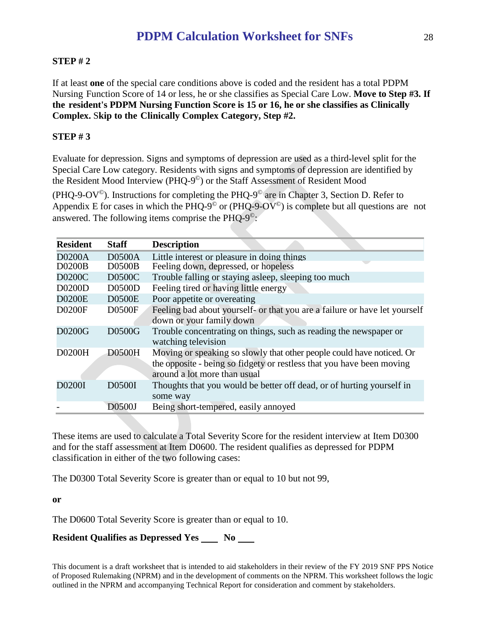# **STEP # 2**

If at least **one** of the special care conditions above is coded and the resident has a total PDPM Nursing Function Score of 14 or less, he or she classifies as Special Care Low. **Move to Step #3. If the resident's PDPM Nursing Function Score is 15 or 16, he or she classifies as Clinically Complex.** S**kip to the Clinically Complex Category, Step #2.**

# **STEP # 3**

Evaluate for depression. Signs and symptoms of depression are used as a third-level split for the Special Care Low category. Residents with signs and symptoms of depression are identified by the Resident Mood Interview (PHQ-9 ©) or the Staff Assessment of Resident Mood

(PHQ-9-OV<sup>©</sup>). Instructions for completing the PHQ-9<sup>©</sup> are in Chapter 3, Section D. Refer to Appendix E for cases in which the PHQ-9<sup> $\degree$ </sup> or (PHQ-9-OV $\degree$ ) is complete but all questions are not answered. The following items comprise the PHQ- $9^{\circ}$ :

| <b>Resident</b> | <b>Staff</b>  | <b>Description</b>                                                         |
|-----------------|---------------|----------------------------------------------------------------------------|
| <b>D0200A</b>   | <b>D0500A</b> | Little interest or pleasure in doing things                                |
| <b>D0200B</b>   | <b>D0500B</b> | Feeling down, depressed, or hopeless                                       |
| D0200C          | <b>D0500C</b> | Trouble falling or staying asleep, sleeping too much                       |
| D0200D          | <b>D0500D</b> | Feeling tired or having little energy                                      |
| <b>D0200E</b>   | <b>D0500E</b> | Poor appetite or overeating                                                |
| <b>D0200F</b>   | <b>D0500F</b> | Feeling bad about yourself- or that you are a failure or have let yourself |
|                 |               | down or your family down                                                   |
| D0200G          | D0500G        | Trouble concentrating on things, such as reading the newspaper or          |
|                 |               | watching television                                                        |
| D0200H          | <b>D0500H</b> | Moving or speaking so slowly that other people could have noticed. Or      |
|                 |               | the opposite - being so fidgety or restless that you have been moving      |
|                 |               | around a lot more than usual                                               |
| D0200I          | D0500I        | Thoughts that you would be better off dead, or of hurting yourself in      |
|                 |               | some way                                                                   |
|                 | D0500J        | Being short-tempered, easily annoyed                                       |

These items are used to calculate a Total Severity Score for the resident interview at Item D0300 and for the staff assessment at Item D0600. The resident qualifies as depressed for PDPM classification in either of the two following cases:

The D0300 Total Severity Score is greater than or equal to 10 but not 99,

**or**

The D0600 Total Severity Score is greater than or equal to 10.

# **Resident Qualifies as Depressed Yes No No**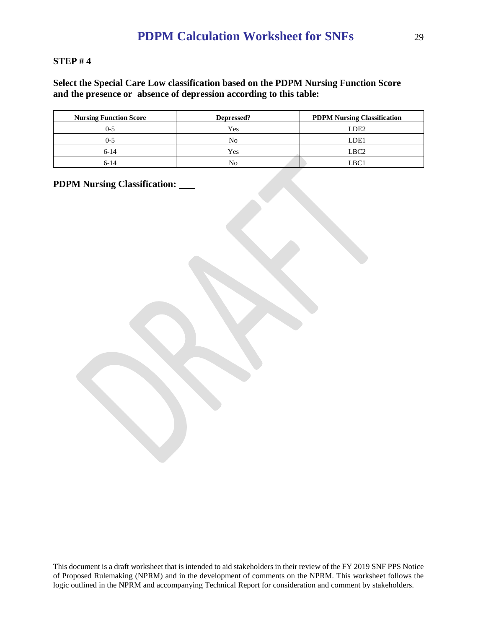## **STEP # 4**

**Select the Special Care Low classification based on the PDPM Nursing Function Score and the presence or absence of depression according to this table:**

| <b>Nursing Function Score</b> | Depressed? | <b>PDPM Nursing Classification</b> |
|-------------------------------|------------|------------------------------------|
| ()-5                          | Yes        | LDE2                               |
|                               | No         | LDE1                               |
| $6-14$                        | Yes        | LBC <sub>2</sub>                   |
| $6-14$                        | No         | LBC1                               |

**PDPM Nursing Classification:**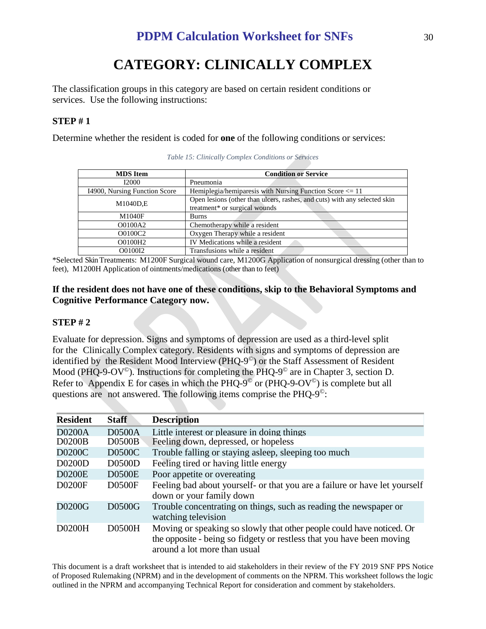# **CATEGORY: CLINICALLY COMPLEX**

The classification groups in this category are based on certain resident conditions or services. Use the following instructions:

# **STEP # 1**

Determine whether the resident is coded for **one** of the following conditions or services:

| <b>MDS</b> Item               | <b>Condition or Service</b>                                               |  |
|-------------------------------|---------------------------------------------------------------------------|--|
|                               |                                                                           |  |
| I2000                         | Pneumonia                                                                 |  |
| 14900, Nursing Function Score | Hemiplegia/hemiparesis with Nursing Function Score <= 11                  |  |
| M1040D,E                      | Open lesions (other than ulcers, rashes, and cuts) with any selected skin |  |
|                               | treatment* or surgical wounds                                             |  |
| M1040F                        | <b>Burns</b>                                                              |  |
| O0100A2                       | Chemotherapy while a resident                                             |  |
| O0100C2                       | Oxygen Therapy while a resident                                           |  |
| O0100H2                       | IV Medications while a resident                                           |  |
| O0100I2                       | Transfusions while a resident                                             |  |

*Table 15: Clinically Complex Conditions or Services*

\*Selected SkinTreatments: M1200F Surgical wound care, M1200G Application of nonsurgical dressing (other than to feet), M1200H Application of ointments/medications (other than to feet)

# **If the resident does not have one of these conditions, skip to the Behavioral Symptoms and Cognitive Performance Category now.**

# **STEP # 2**

Evaluate for depression. Signs and symptoms of depression are used as a third-level split for the Clinically Complex category. Residents with signs and symptoms of depression are identified by the Resident Mood Interview (PHQ-9<sup>®</sup>) or the Staff Assessment of Resident Mood (PHQ-9-OV<sup>©</sup>). Instructions for completing the PHQ-9<sup>©</sup> are in Chapter 3, section D. Refer to Appendix E for cases in which the PHQ-9<sup> $\degree$ </sup> or (PHQ-9-OV $\degree$ ) is complete but all questions are not answered. The following items comprise the PHQ- $9^\circ$ :

| <b>Resident</b> | <b>Staff</b>  | <b>Description</b>                                                                                                                                                             |
|-----------------|---------------|--------------------------------------------------------------------------------------------------------------------------------------------------------------------------------|
| <b>D0200A</b>   | <b>D0500A</b> | Little interest or pleasure in doing things                                                                                                                                    |
| <b>D0200B</b>   | D0500B        | Feeling down, depressed, or hopeless                                                                                                                                           |
| D0200C          | D0500C        | Trouble falling or staying asleep, sleeping too much                                                                                                                           |
| D0200D          | <b>D0500D</b> | Feeling tired or having little energy                                                                                                                                          |
| <b>D0200E</b>   | <b>D0500E</b> | Poor appetite or overeating                                                                                                                                                    |
| D0200F          | <b>D0500F</b> | Feeling bad about yourself- or that you are a failure or have let yourself<br>down or your family down                                                                         |
| D0200G          | D0500G        | Trouble concentrating on things, such as reading the newspaper or<br>watching television                                                                                       |
| D0200H          | <b>D0500H</b> | Moving or speaking so slowly that other people could have noticed. Or<br>the opposite - being so fidgety or restless that you have been moving<br>around a lot more than usual |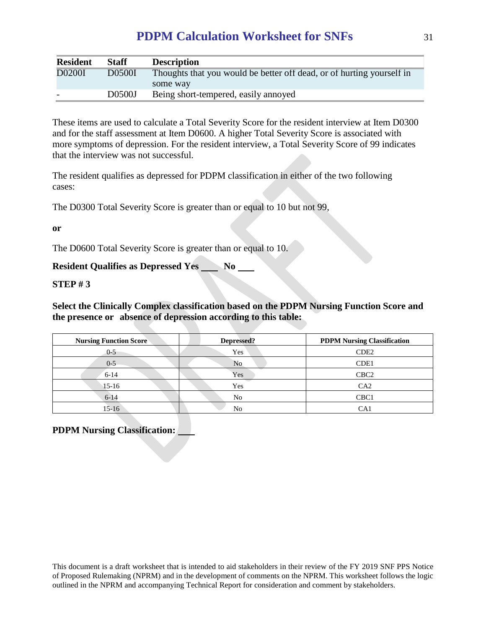| <b>Resident</b> | <b>Staff</b>  | <b>Description</b>                                                    |
|-----------------|---------------|-----------------------------------------------------------------------|
| <b>D0200I</b>   | <b>D0500I</b> | Thoughts that you would be better off dead, or of hurting yourself in |
|                 |               | some way                                                              |
|                 | D0500J        | Being short-tempered, easily annoyed                                  |

These items are used to calculate a Total Severity Score for the resident interview at Item D0300 and for the staff assessment at Item D0600. A higher Total Severity Score is associated with more symptoms of depression. For the resident interview, a Total Severity Score of 99 indicates that the interview was not successful.

The resident qualifies as depressed for PDPM classification in either of the two following cases:

The D0300 Total Severity Score is greater than or equal to 10 but not 99,

**or**

The D0600 Total Severity Score is greater than or equal to 10.

**Resident Qualifies as Depressed Yes No 100 Leapers** 

## **STEP # 3**

**Select the Clinically Complex classification based on the PDPM Nursing Function Score and the presence or absence of depression according to this table:**

| <b>Nursing Function Score</b> | Depressed? | <b>PDPM Nursing Classification</b> |
|-------------------------------|------------|------------------------------------|
| $0 - 5$                       | Yes        | CDE <sub>2</sub>                   |
| $0 - 5$                       | No         | CDE <sub>1</sub>                   |
| $6 - 14$                      | Yes        | CBC <sub>2</sub>                   |
| $15-16$                       | Yes        | CA2                                |
| $6 - 14$                      | No         | CBC <sub>1</sub>                   |
| 15-16                         | No         | CA1                                |

# **PDPM Nursing Classification:**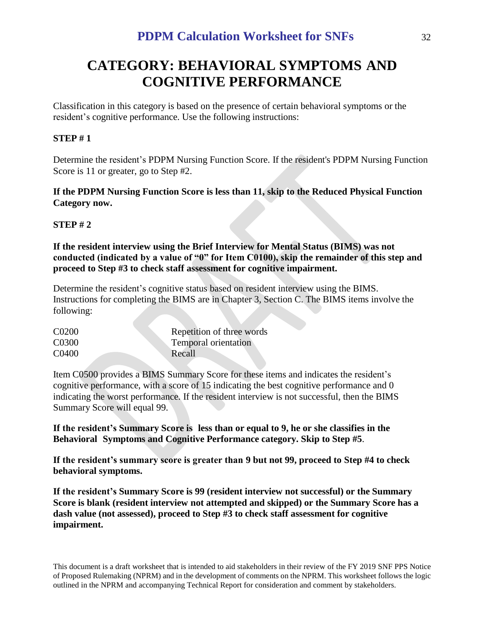# **CATEGORY: BEHAVIORAL SYMPTOMS AND COGNITIVE PERFORMANCE**

Classification in this category is based on the presence of certain behavioral symptoms or the resident's cognitive performance. Use the following instructions:

# **STEP # 1**

Determine the resident's PDPM Nursing Function Score. If the resident's PDPM Nursing Function Score is 11 or greater, go to Step #2.

# **If the PDPM Nursing Function Score is less than 11, skip to the Reduced Physical Function Category now.**

# **STEP # 2**

**If the resident interview using the Brief Interview for Mental Status (BIMS) was not conducted (indicated by a value of "0" for Item C0100), skip the remainder of this step and proceed to Step #3 to check staff assessment for cognitive impairment.**

Determine the resident's cognitive status based on resident interview using the BIMS. Instructions for completing the BIMS are in Chapter 3, Section C. The BIMS items involve the following:

| C <sub>0200</sub>  | Repetition of three words |
|--------------------|---------------------------|
| C <sub>0</sub> 300 | Temporal orientation      |
| C0400              | Recall                    |

Item C0500 provides a BIMS Summary Score for these items and indicates the resident's cognitive performance, with a score of 15 indicating the best cognitive performance and 0 indicating the worst performance. If the resident interview is not successful, then the BIMS Summary Score will equal 99.

**If the resident's Summary Score is less than or equal to 9, he or she classifies in the Behavioral Symptoms and Cognitive Performance category. Skip to Step #5**.

**If the resident's summary score is greater than 9 but not 99, proceed to Step #4 to check behavioral symptoms.**

**If the resident's Summary Score is 99 (resident interview not successful) or the Summary Score is blank (resident interview not attempted and skipped) or the Summary Score has a dash value (not assessed), proceed to Step #3 to check staff assessment for cognitive impairment.**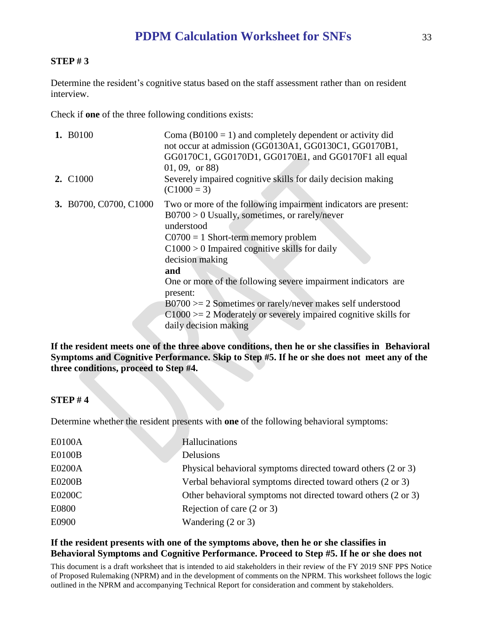## **STEP # 3**

Determine the resident's cognitive status based on the staff assessment rather than on resident interview.

Check if **one** of the three following conditions exists:

| 1. B0100                    | Coma ( $B0100 = 1$ ) and completely dependent or activity did<br>not occur at admission (GG0130A1, GG0130C1, GG0170B1,<br>GG0170C1, GG0170D1, GG0170E1, and GG0170F1 all equal<br>$(01, 09, \text{ or } 88)$                                                                                                                                                                                                                                                                                      |
|-----------------------------|---------------------------------------------------------------------------------------------------------------------------------------------------------------------------------------------------------------------------------------------------------------------------------------------------------------------------------------------------------------------------------------------------------------------------------------------------------------------------------------------------|
| <b>2.</b> C <sub>1000</sub> | Severely impaired cognitive skills for daily decision making<br>$(C1000 = 3)$                                                                                                                                                                                                                                                                                                                                                                                                                     |
| 3. B0700, C0700, C1000      | Two or more of the following impairment indicators are present:<br>$B0700 > 0$ Usually, sometimes, or rarely/never<br>understood<br>$C0700 = 1$ Short-term memory problem<br>$C1000 > 0$ Impaired cognitive skills for daily<br>decision making<br>and<br>One or more of the following severe impairment indicators are<br>present:<br>$B0700 \ge 2$ Sometimes or rarely/never makes self understood<br>$C1000 = 2$ Moderately or severely impaired cognitive skills for<br>daily decision making |
|                             |                                                                                                                                                                                                                                                                                                                                                                                                                                                                                                   |

**If the resident meets one of the three above conditions, then he or she classifies in Behavioral Symptoms and Cognitive Performance. Skip to Step #5. If he or she does not meet any of the three conditions, proceed to Step #4.**

## **STEP # 4**

Determine whether the resident presents with **one** of the following behavioral symptoms:

| E0100A        | Hallucinations                                                |
|---------------|---------------------------------------------------------------|
| <b>E0100B</b> | Delusions                                                     |
| E0200A        | Physical behavioral symptoms directed toward others (2 or 3)  |
| <b>E0200B</b> | Verbal behavioral symptoms directed toward others (2 or 3)    |
| E0200C        | Other behavioral symptoms not directed toward others (2 or 3) |
| E0800         | Rejection of care $(2 \text{ or } 3)$                         |
| E0900         | Wandering $(2 \text{ or } 3)$                                 |

## **If the resident presents with one of the symptoms above, then he or she classifies in Behavioral Symptoms and Cognitive Performance. Proceed to Step #5. If he or she does not**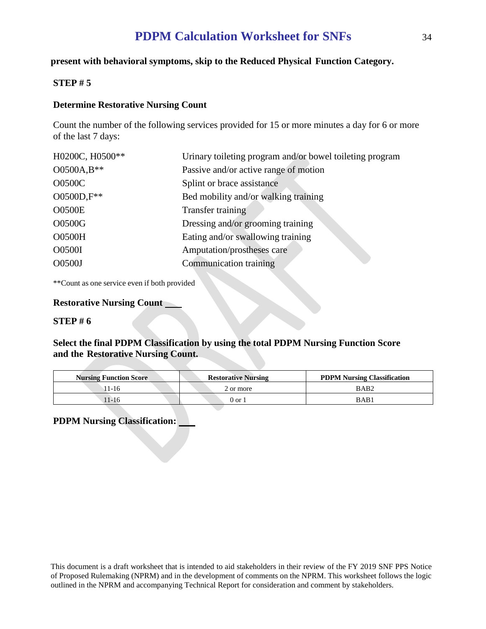## **present with behavioral symptoms, skip to the Reduced Physical Function Category.**

#### **STEP # 5**

#### **Determine Restorative Nursing Count**

Count the number of the following services provided for 15 or more minutes a day for 6 or more of the last 7 days:

| H0200C, H0500** | Urinary toileting program and/or bowel toileting program |
|-----------------|----------------------------------------------------------|
| O0500A,B**      | Passive and/or active range of motion                    |
| <b>O0500C</b>   | Splint or brace assistance                               |
| O0500D,F**      | Bed mobility and/or walking training                     |
| <b>O0500E</b>   | Transfer training                                        |
| O0500G          | Dressing and/or grooming training                        |
| <b>O0500H</b>   | Eating and/or swallowing training                        |
| O0500I          | Amputation/prostheses care                               |
| O0500J          | <b>Communication training</b>                            |
|                 |                                                          |

\*\*Count as one service even if both provided

#### **Restorative Nursing Count**

#### **STEP # 6**

## **Select the final PDPM Classification by using the total PDPM Nursing Function Score and the Restorative Nursing Count.**

| <b>Nursing Function Score</b> | <b>Restorative Nursing</b> | <b>PDPM Nursing Classification</b> |
|-------------------------------|----------------------------|------------------------------------|
| $1-16$                        | 2 or more                  | BAB <sub>2</sub>                   |
| 11-16                         | 0 or 1                     | BAB1                               |

# **PDPM Nursing Classification:**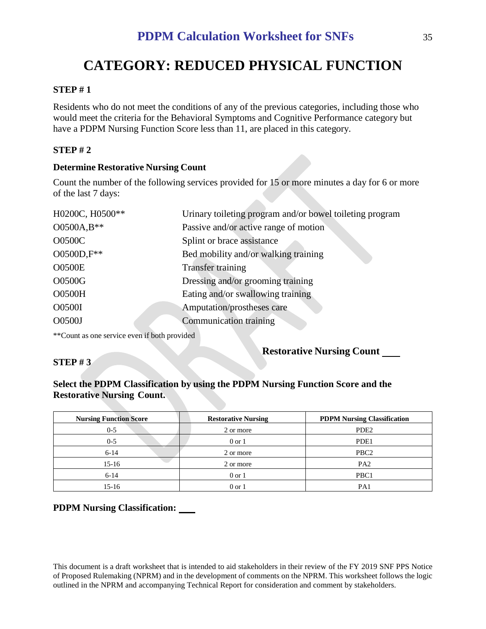# **CATEGORY: REDUCED PHYSICAL FUNCTION**

## **STEP # 1**

Residents who do not meet the conditions of any of the previous categories, including those who would meet the criteria for the Behavioral Symptoms and Cognitive Performance category but have a PDPM Nursing Function Score less than 11, are placed in this category.

# **STEP # 2**

## **Determine Restorative Nursing Count**

Count the number of the following services provided for 15 or more minutes a day for 6 or more of the last 7 days:

| H0200C, H0500** | Urinary toileting program and/or bowel toileting program |
|-----------------|----------------------------------------------------------|
| O0500A,B**      | Passive and/or active range of motion                    |
| <b>O0500C</b>   | Splint or brace assistance                               |
| O0500D,F**      | Bed mobility and/or walking training                     |
| <b>O0500E</b>   | <b>Transfer training</b>                                 |
| O0500G          | Dressing and/or grooming training                        |
| <b>O0500H</b>   | Eating and/or swallowing training                        |
| <b>O0500I</b>   | Amputation/prostheses care                               |
| O0500J          | <b>Communication training</b>                            |
|                 |                                                          |

\*\*Count as one service even if both provided

## **STEP # 3**

# **Restorative Nursing Count**

# **Select the PDPM Classification by using the PDPM Nursing Function Score and the Restorative Nursing Count.**

| <b>Nursing Function Score</b> | <b>Restorative Nursing</b> | <b>PDPM Nursing Classification</b> |
|-------------------------------|----------------------------|------------------------------------|
| $0 - 5$                       | 2 or more                  | PDE <sub>2</sub>                   |
| $0 - 5$                       | $0$ or $1$                 | PDE1                               |
| $6 - 14$                      | 2 or more                  | PBC <sub>2</sub>                   |
| $15-16$                       | 2 or more                  | PA <sub>2</sub>                    |
| $6-14$                        | $0$ or $1$                 | PBC1                               |
| $15-16$                       | 0 or 1                     | PA                                 |

# **PDPM Nursing Classification:**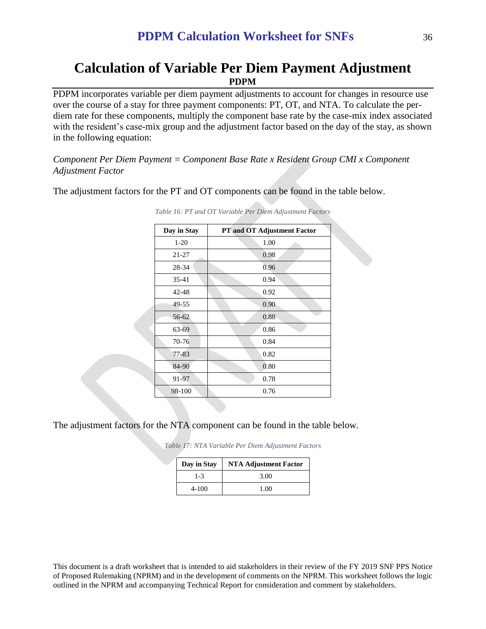# **Calculation of Variable Per Diem Payment Adjustment PDPM**

PDPM incorporates variable per diem payment adjustments to account for changes in resource use over the course of a stay for three payment components: PT, OT, and NTA. To calculate the perdiem rate for these components, multiply the component base rate by the case-mix index associated with the resident's case-mix group and the adjustment factor based on the day of the stay, as shown in the following equation:

*Component Per Diem Payment = Component Base Rate x Resident Group CMI x Component Adjustment Factor*

The adjustment factors for the PT and OT components can be found in the table below.

| Day in Stay | PT and OT Adjustment Factor |
|-------------|-----------------------------|
| $1-20$      | 1.00                        |
| 21-27       | 0.98                        |
| 28-34       | 0.96                        |
| 35-41       | 0.94                        |
| 42-48       | 0.92                        |
| 49-55       | 0.90                        |
| 56-62       | 0.88                        |
| 63-69       | 0.86                        |
| 70-76       | 0.84                        |
| 77-83       | 0.82                        |
| 84-90       | 0.80                        |
| 91-97       | 0.78                        |
| 98-100      | 0.76                        |

*Table 16: PT and OT Variable Per Diem Adjustment Factors*

The adjustment factors for the NTA component can be found in the table below.

*Table 17: NTA Variable Per Diem Adjustment Factors*

| Day in Stay | <b>NTA Adjustment Factor</b> |
|-------------|------------------------------|
| 1-3         | 3.00                         |
| 4-100       | 1.00                         |